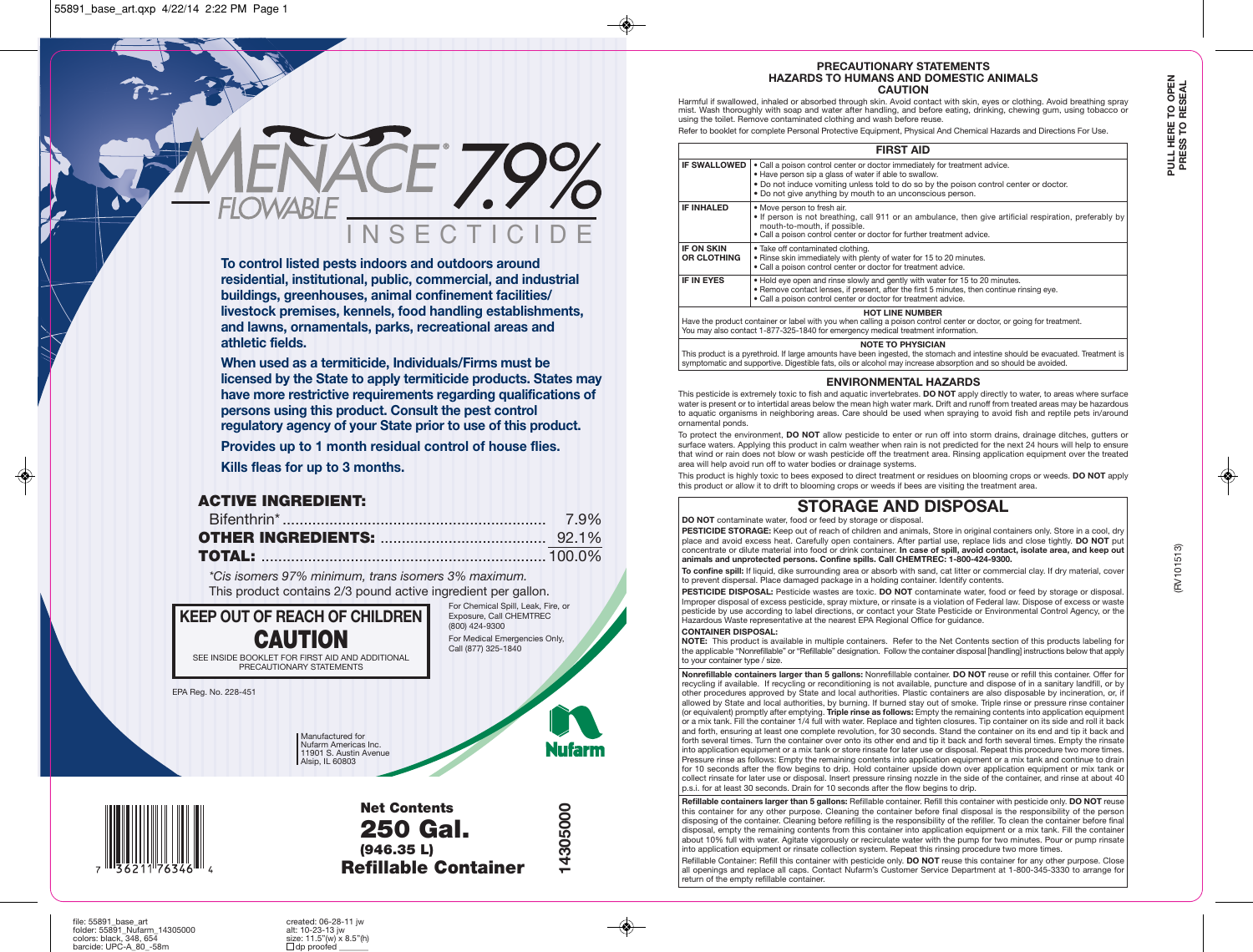INSECTICIDE **To control listed pests indoors and outdoors around residential, institutional, public, commercial, and industrial buildings, greenhouses, animal confinement facilities/ livestock premises, kennels, food handling establishments, and lawns, ornamentals, parks, recreational areas and**

**When used as a termiticide, Individuals/Firms must be licensed by the State to apply termiticide products. States may have more restrictive requirements regarding qualifications of persons using this product. Consult the pest control regulatory agency of your State prior to use of this product.**

**Provides up to 1 month residual control of house flies. Kills fleas for up to 3 months.**

# **ACTIVE INGREDIENT:**

**athletic fields.**

*\*Cis isomers 97% minimum, trans isomers 3% maximum.* This product contains 2/3 pound active ingredient per gallon.

**KEEP OUT OF REACH OF CHILDREN CAUTION** SEE INSIDE BOOKLET FOR FIRST AID AND ADDITIONAL PRECAUTIONARY STATEMENTS

Exposure, Call CHEMTREC (800) 424-9300 For Medical Emergencies Only, Call (877) 325-1840

For Chemical Spill, Leak, Fire, or

EPA Reg. No. 228-451

Manufactured for Nufarm Americas Inc. 11901 S. Austin Avenue Alsip, IL 60803

Nufarm



**Net Contents 250 Gal. (946.35 L) Refillable Container**



**14305000**

14305000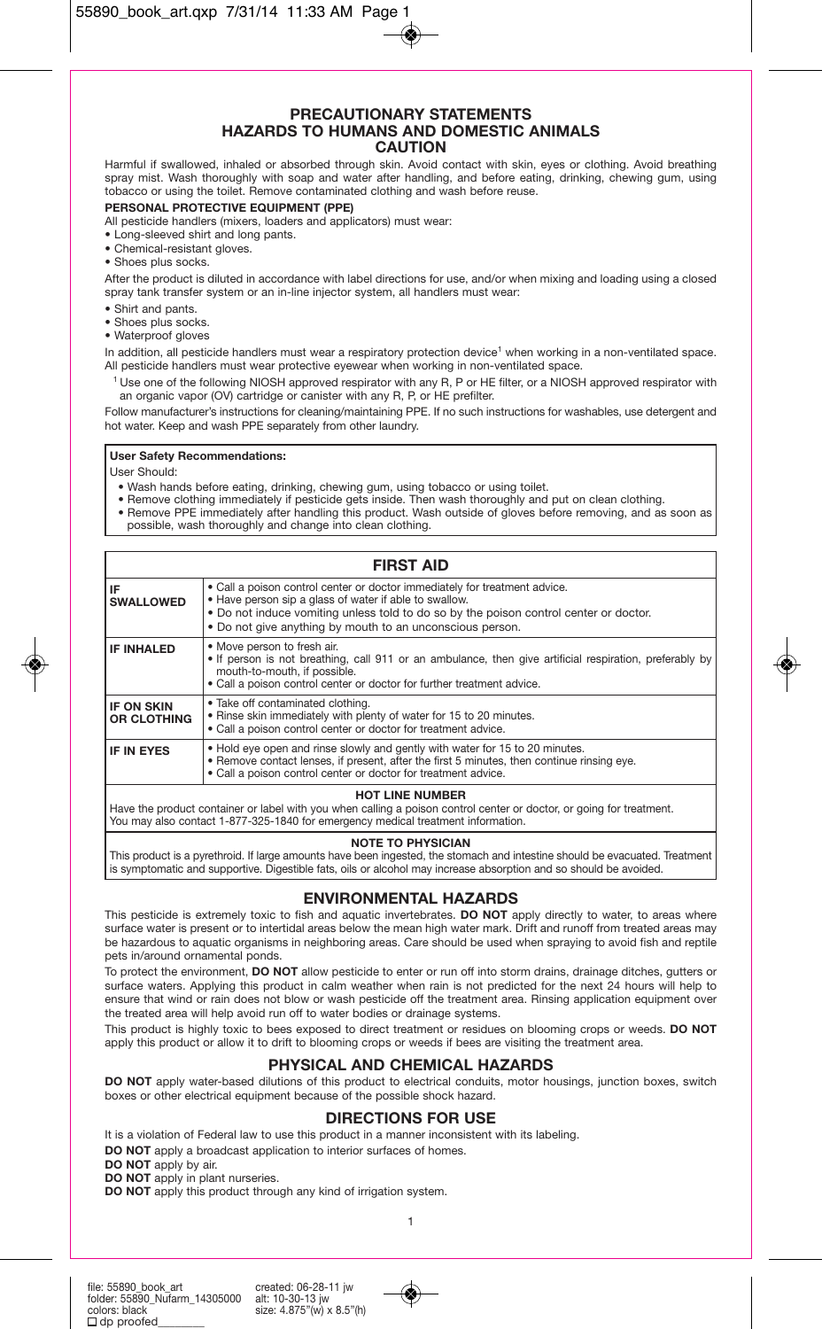#### **PRECAUTIONARY STATEMENTS HAZARDS TO HUMANS AND DOMESTIC ANIMALS CAUTION**

Harmful if swallowed, inhaled or absorbed through skin. Avoid contact with skin, eyes or clothing. Avoid breathing spray mist. Wash thoroughly with soap and water after handling, and before eating, drinking, chewing gum, using tobacco or using the toilet. Remove contaminated clothing and wash before reuse.

#### **PERSONAL PROTECTIVE EQUIPMENT (PPE)**

All pesticide handlers (mixers, loaders and applicators) must wear:

- Long-sleeved shirt and long pants.
- Chemical-resistant gloves.
- Shoes plus socks.

After the product is diluted in accordance with label directions for use, and/or when mixing and loading using a closed spray tank transfer system or an in-line injector system, all handlers must wear:

- Shirt and pants.
- Shoes plus socks.
- Waterproof gloves

In addition, all pesticide handlers must wear a respiratory protection device<sup>1</sup> when working in a non-ventilated space. All pesticide handlers must wear protective eyewear when working in non-ventilated space.

1 Use one of the following NIOSH approved respirator with any R, P or HE filter, or a NIOSH approved respirator with an organic vapor (OV) cartridge or canister with any R, P, or HE prefilter.

Follow manufacturer's instructions for cleaning/maintaining PPE. If no such instructions for washables, use detergent and hot water. Keep and wash PPE separately from other laundry.

#### **User Safety Recommendations:**

User Should:

- Wash hands before eating, drinking, chewing gum, using tobacco or using toilet.
- 
- Remove clothing immediately if pesticide gets inside. Then wash thoroughly and put on clean clothing. Remove PPE immediately after handling this product. Wash outside of gloves before removing, and as soon as possible, wash thoroughly and change into clean clothing.

|                                         | <b>FIRST AID</b>                                                                                                                                                                                                                                                                           |  |  |  |
|-----------------------------------------|--------------------------------------------------------------------------------------------------------------------------------------------------------------------------------------------------------------------------------------------------------------------------------------------|--|--|--|
| IF<br><b>SWALLOWED</b>                  | • Call a poison control center or doctor immediately for treatment advice.<br>. Have person sip a glass of water if able to swallow.<br>. Do not induce vomiting unless told to do so by the poison control center or doctor.<br>. Do not give anything by mouth to an unconscious person. |  |  |  |
| IF INHALED                              | • Move person to fresh air.<br>• If person is not breathing, call 911 or an ambulance, then give artificial respiration, preferably by<br>mouth-to-mouth, if possible.<br>. Call a poison control center or doctor for further treatment advice.                                           |  |  |  |
| <b>IF ON SKIN</b><br><b>OR CLOTHING</b> | • Take off contaminated clothing.<br>. Rinse skin immediately with plenty of water for 15 to 20 minutes.<br>. Call a poison control center or doctor for treatment advice.                                                                                                                 |  |  |  |
| <b>IF IN EYES</b>                       | • Hold eye open and rinse slowly and gently with water for 15 to 20 minutes.<br>• Remove contact lenses, if present, after the first 5 minutes, then continue rinsing eye.<br>. Call a poison control center or doctor for treatment advice.                                               |  |  |  |
| <b>HOT LINE NUMBER</b>                  |                                                                                                                                                                                                                                                                                            |  |  |  |

**HOT LINE NUMBER**<br>Have the product container or label with you when calling a poison control center or doctor, or going for treatment. You may also contact 1-877-325-1840 for emergency medical treatment information.

#### **NOTE TO PHYSICIAN**

This product is a pyrethroid. If large amounts have been ingested, the stomach and intestine should be evacuated. Treatment is symptomatic and supportive. Digestible fats, oils or alcohol may increase absorption and so should be avoided.

# **ENVIRONMENTAL HAZARDS**

This pesticide is extremely toxic to fish and aquatic invertebrates. **DO NOT** apply directly to water, to areas where surface water is present or to intertidal areas below the mean high water mark. Drift and runoff from treated areas may be hazardous to aquatic organisms in neighboring areas. Care should be used when spraying to avoid fish and reptile pets in/around ornamental ponds.

To protect the environment, **DO NOT** allow pesticide to enter or run off into storm drains, drainage ditches, gutters or surface waters. Applying this product in calm weather when rain is not predicted for the next 24 hours will help to ensure that wind or rain does not blow or wash pesticide off the treatment area. Rinsing application equipment over the treated area will help avoid run off to water bodies or drainage systems.

This product is highly toxic to bees exposed to direct treatment or residues on blooming crops or weeds. **DO NOT** apply this product or allow it to drift to blooming crops or weeds if bees are visiting the treatment area.

# **PHYSICAL AND CHEMICAL HAZARDS**

**DO NOT** apply water-based dilutions of this product to electrical conduits, motor housings, junction boxes, switch boxes or other electrical equipment because of the possible shock hazard.

## **DIRECTIONS FOR USE**

It is a violation of Federal law to use this product in a manner inconsistent with its labeling.

**DO NOT** apply a broadcast application to interior surfaces of homes.

**DO NOT** apply by air.

**DO NOT** apply in plant nurseries.

**DO NOT** apply this product through any kind of irrigation system.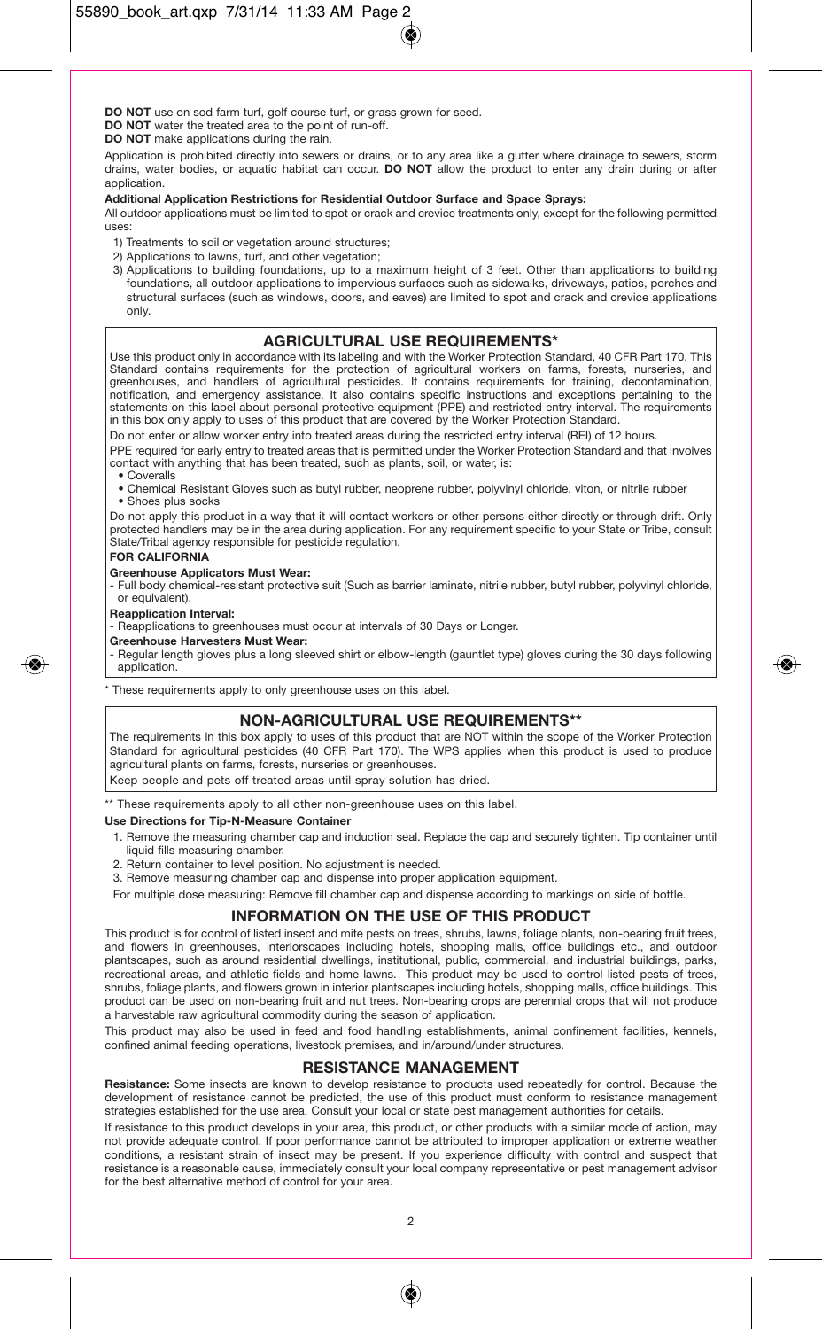**DO NOT** use on sod farm turf, golf course turf, or grass grown for seed.

**DO NOT** water the treated area to the point of run-off.

**DO NOT** make applications during the rain.

Application is prohibited directly into sewers or drains, or to any area like a gutter where drainage to sewers, storm drains, water bodies, or aquatic habitat can occur. **DO NOT** allow the product to enter any drain during or after application.

#### **Additional Application Restrictions for Residential Outdoor Surface and Space Sprays:**

All outdoor applications must be limited to spot or crack and crevice treatments only, except for the following permitted uses:

- 1) Treatments to soil or vegetation around structures;
- 2) Applications to lawns, turf, and other vegetation;
- 3) Applications to building foundations, up to a maximum height of 3 feet. Other than applications to building foundations, all outdoor applications to impervious surfaces such as sidewalks, driveways, patios, porches and structural surfaces (such as windows, doors, and eaves) are limited to spot and crack and crevice applications only.

## **AGRICULTURAL USE REQUIREMENTS\***

Use this product only in accordance with its labeling and with the Worker Protection Standard, 40 CFR Part 170. This Standard contains requirements for the protection of agricultural workers on farms, forests, nurseries, and greenhouses, and handlers of agricultural pesticides. It contains requirements for training, decontamination, notification, and emergency assistance. It also contains specific instructions and exceptions pertaining to the statements on this label about personal protective equipment (PPE) and restricted entry interval. The requirements in this box only apply to uses of this product that are covered by the Worker Protection Standard.

Do not enter or allow worker entry into treated areas during the restricted entry interval (REI) of 12 hours.

PPE required for early entry to treated areas that is permitted under the Worker Protection Standard and that involves contact with anything that has been treated, such as plants, soil, or water, is:

- Coveralls
- Chemical Resistant Gloves such as butyl rubber, neoprene rubber, polyvinyl chloride, viton, or nitrile rubber
- Shoes plus socks

Do not apply this product in a way that it will contact workers or other persons either directly or through drift. Only protected handlers may be in the area during application. For any requirement specific to your State or Tribe, consult State/Tribal agency responsible for pesticide regulation.

#### **FOR CALIFORNIA**

#### **Greenhouse Applicators Must Wear:**

- Full body chemical-resistant protective suit (Such as barrier laminate, nitrile rubber, butyl rubber, polyvinyl chloride, or equivalent).

#### **Reapplication Interval:**

- Reapplications to greenhouses must occur at intervals of 30 Days or Longer.

#### **Greenhouse Harvesters Must Wear:**

- Regular length gloves plus a long sleeved shirt or elbow-length (gauntlet type) gloves during the 30 days following application.

\* These requirements apply to only greenhouse uses on this label.

#### **NON-AGRICULTURAL USE REQUIREMENTS\*\***

The requirements in this box apply to uses of this product that are NOT within the scope of the Worker Protection Standard for agricultural pesticides (40 CFR Part 170). The WPS applies when this product is used to produce agricultural plants on farms, forests, nurseries or greenhouses.

Keep people and pets off treated areas until spray solution has dried.

\*\* These requirements apply to all other non-greenhouse uses on this label.

#### **Use Directions for Tip-N-Measure Container**

- 1. Remove the measuring chamber cap and induction seal. Replace the cap and securely tighten. Tip container until liquid fills measuring chamber.
- 2. Return container to level position. No adjustment is needed.
- 3. Remove measuring chamber cap and dispense into proper application equipment.

For multiple dose measuring: Remove fill chamber cap and dispense according to markings on side of bottle.

# **INFORMATION ON THE USE OF THIS PRODUCT**

This product is for control of listed insect and mite pests on trees, shrubs, lawns, foliage plants, non-bearing fruit trees, and flowers in greenhouses, interiorscapes including hotels, shopping malls, office buildings etc., and outdoor plantscapes, such as around residential dwellings, institutional, public, commercial, and industrial buildings, parks, recreational areas, and athletic fields and home lawns. This product may be used to control listed pests of trees, shrubs, foliage plants, and flowers grown in interior plantscapes including hotels, shopping malls, office buildings. This product can be used on non-bearing fruit and nut trees. Non-bearing crops are perennial crops that will not produce a harvestable raw agricultural commodity during the season of application.

This product may also be used in feed and food handling establishments, animal confinement facilities, kennels, confined animal feeding operations, livestock premises, and in/around/under structures.

## **RESISTANCE MANAGEMENT**

**Resistance:** Some insects are known to develop resistance to products used repeatedly for control. Because the development of resistance cannot be predicted, the use of this product must conform to resistance management strategies established for the use area. Consult your local or state pest management authorities for details.

If resistance to this product develops in your area, this product, or other products with a similar mode of action, may not provide adequate control. If poor performance cannot be attributed to improper application or extreme weather conditions, a resistant strain of insect may be present. If you experience difficulty with control and suspect that resistance is a reasonable cause, immediately consult your local company representative or pest management advisor for the best alternative method of control for your area.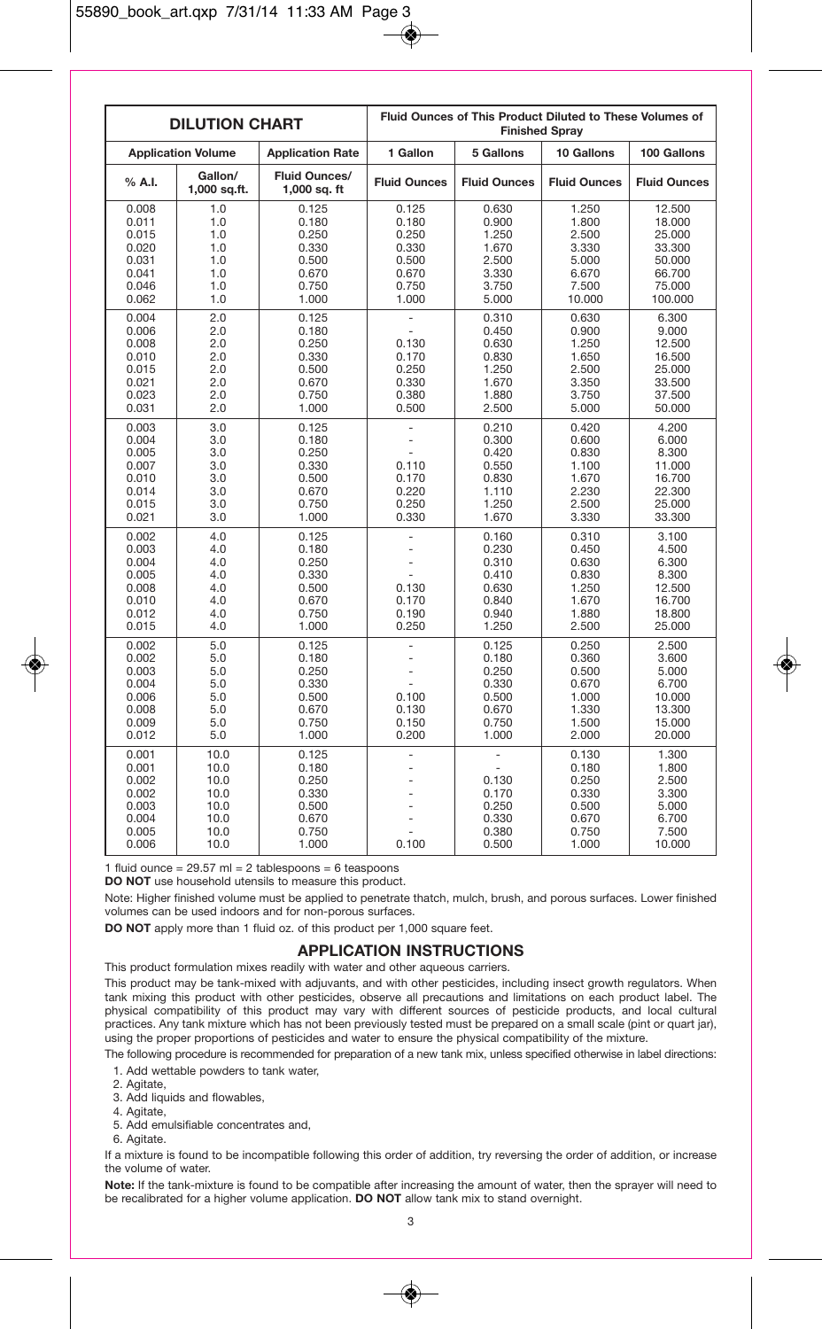|                                                                      | <b>DILUTION CHART</b>                                        |                                                                      | Fluid Ounces of This Product Diluted to These Volumes of<br><b>Finished Sprav</b> |                                                                      |                                                                       |                                                                               |
|----------------------------------------------------------------------|--------------------------------------------------------------|----------------------------------------------------------------------|-----------------------------------------------------------------------------------|----------------------------------------------------------------------|-----------------------------------------------------------------------|-------------------------------------------------------------------------------|
|                                                                      | <b>Application Volume</b>                                    | <b>Application Rate</b>                                              | 1 Gallon                                                                          | 5 Gallons                                                            | 10 Gallons                                                            | 100 Gallons                                                                   |
| % A.I.                                                               | Gallon/<br>1,000 sq.ft.                                      | <b>Fluid Ounces/</b><br>$1,000$ sq. ft                               | <b>Fluid Ounces</b>                                                               | <b>Fluid Ounces</b>                                                  | <b>Fluid Ounces</b>                                                   | <b>Fluid Ounces</b>                                                           |
| 0.008<br>0.011<br>0.015<br>0.020<br>0.031<br>0.041<br>0.046<br>0.062 | 1.0<br>1.0<br>1.0<br>1.0<br>1.0<br>1.0<br>1.0<br>1.0         | 0.125<br>0.180<br>0.250<br>0.330<br>0.500<br>0.670<br>0.750<br>1.000 | 0.125<br>0.180<br>0.250<br>0.330<br>0.500<br>0.670<br>0.750<br>1.000              | 0.630<br>0.900<br>1.250<br>1.670<br>2.500<br>3.330<br>3.750<br>5.000 | 1.250<br>1.800<br>2.500<br>3.330<br>5.000<br>6.670<br>7.500<br>10.000 | 12.500<br>18.000<br>25.000<br>33.300<br>50.000<br>66.700<br>75.000<br>100.000 |
| 0.004<br>0.006<br>0.008<br>0.010<br>0.015<br>0.021<br>0.023<br>0.031 | 2.0<br>2.0<br>2.0<br>2.0<br>2.0<br>2.0<br>2.0<br>2.0         | 0.125<br>0.180<br>0.250<br>0.330<br>0.500<br>0.670<br>0.750<br>1.000 | $\overline{a}$<br>0.130<br>0.170<br>0.250<br>0.330<br>0.380<br>0.500              | 0.310<br>0.450<br>0.630<br>0.830<br>1.250<br>1.670<br>1.880<br>2.500 | 0.630<br>0.900<br>1.250<br>1.650<br>2.500<br>3.350<br>3.750<br>5.000  | 6.300<br>9.000<br>12.500<br>16.500<br>25.000<br>33.500<br>37.500<br>50.000    |
| 0.003<br>0.004<br>0.005<br>0.007<br>0.010<br>0.014<br>0.015<br>0.021 | 3.0<br>3.0<br>3.0<br>3.0<br>3.0<br>3.0<br>3.0<br>3.0         | 0.125<br>0.180<br>0.250<br>0.330<br>0.500<br>0.670<br>0.750<br>1.000 | ÷<br>0.110<br>0.170<br>0.220<br>0.250<br>0.330                                    | 0.210<br>0.300<br>0.420<br>0.550<br>0.830<br>1.110<br>1.250<br>1.670 | 0.420<br>0.600<br>0.830<br>1.100<br>1.670<br>2.230<br>2.500<br>3.330  | 4.200<br>6.000<br>8.300<br>11.000<br>16.700<br>22.300<br>25.000<br>33.300     |
| 0.002<br>0.003<br>0.004<br>0.005<br>0.008<br>0.010<br>0.012<br>0.015 | 4.0<br>4.0<br>4.0<br>4.0<br>4.0<br>4.0<br>4.0<br>4.0         | 0.125<br>0.180<br>0.250<br>0.330<br>0.500<br>0.670<br>0.750<br>1.000 | 0.130<br>0.170<br>0.190<br>0.250                                                  | 0.160<br>0.230<br>0.310<br>0.410<br>0.630<br>0.840<br>0.940<br>1.250 | 0.310<br>0.450<br>0.630<br>0.830<br>1.250<br>1.670<br>1.880<br>2.500  | 3.100<br>4.500<br>6.300<br>8.300<br>12.500<br>16.700<br>18.800<br>25.000      |
| 0.002<br>0.002<br>0.003<br>0.004<br>0.006<br>0.008<br>0.009<br>0.012 | 5.0<br>5.0<br>5.0<br>5.0<br>5.0<br>5.0<br>5.0<br>5.0         | 0.125<br>0.180<br>0.250<br>0.330<br>0.500<br>0.670<br>0.750<br>1.000 | $\overline{a}$<br>0.100<br>0.130<br>0.150<br>0.200                                | 0.125<br>0.180<br>0.250<br>0.330<br>0.500<br>0.670<br>0.750<br>1.000 | 0.250<br>0.360<br>0.500<br>0.670<br>1.000<br>1.330<br>1.500<br>2.000  | 2.500<br>3.600<br>5.000<br>6.700<br>10.000<br>13.300<br>15.000<br>20.000      |
| 0.001<br>0.001<br>0.002<br>0.002<br>0.003<br>0.004<br>0.005<br>0.006 | 10.0<br>10.0<br>10.0<br>10.0<br>10.0<br>10.0<br>10.0<br>10.0 | 0.125<br>0.180<br>0.250<br>0.330<br>0.500<br>0.670<br>0.750<br>1.000 | 0.100                                                                             | 0.130<br>0.170<br>0.250<br>0.330<br>0.380<br>0.500                   | 0.130<br>0.180<br>0.250<br>0.330<br>0.500<br>0.670<br>0.750<br>1.000  | 1.300<br>1.800<br>2.500<br>3.300<br>5.000<br>6.700<br>7.500<br>10.000         |

1 fluid ounce =  $29.57$  ml = 2 tablespoons = 6 teaspoons

**DO NOT** use household utensils to measure this product.

Note: Higher finished volume must be applied to penetrate thatch, mulch, brush, and porous surfaces. Lower finished volumes can be used indoors and for non-porous surfaces.

**DO NOT** apply more than 1 fluid oz. of this product per 1,000 square feet.

#### **APPLICATION INSTRUCTIONS**

This product formulation mixes readily with water and other aqueous carriers.

This product may be tank-mixed with adjuvants, and with other pesticides, including insect growth regulators. When tank mixing this product with other pesticides, observe all precautions and limitations on each product label. The physical compatibility of this product may vary with different sources of pesticide products, and local cultural practices. Any tank mixture which has not been previously tested must be prepared on a small scale (pint or quart jar), using the proper proportions of pesticides and water to ensure the physical compatibility of the mixture.

The following procedure is recommended for preparation of a new tank mix, unless specified otherwise in label directions: 1. Add wettable powders to tank water,

- 2. Agitate,
- 3. Add liquids and flowables,
- 4. Agitate,
- 5. Add emulsifiable concentrates and,
- 6. Agitate.

If a mixture is found to be incompatible following this order of addition, try reversing the order of addition, or increase the volume of water.

**Note:** If the tank-mixture is found to be compatible after increasing the amount of water, then the sprayer will need to be recalibrated for a higher volume application. **DO NOT** allow tank mix to stand overnight.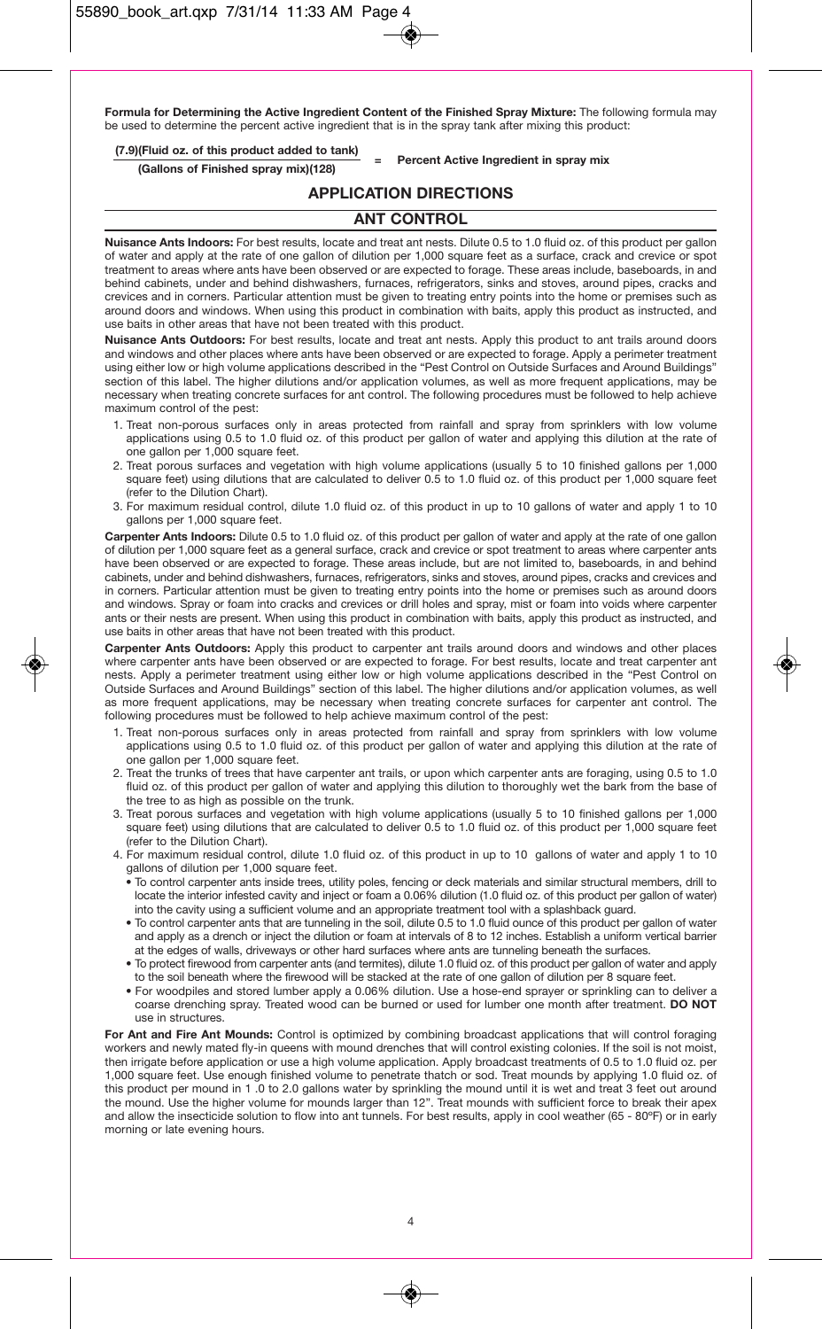**Formula for Determining the Active Ingredient Content of the Finished Spray Mixture:** The following formula may be used to determine the percent active ingredient that is in the spray tank after mixing this product:

# **(7.9)(Fluid oz. of this product added to tank) <sup>=</sup> Percent Active Ingredient in spray mix (Gallons of Finished spray mix)(128)**

# **APPLICATION DIRECTIONS**

# **ANT CONTROL**

**Nuisance Ants Indoors:** For best results, locate and treat ant nests. Dilute 0.5 to 1.0 fluid oz. of this product per gallon of water and apply at the rate of one gallon of dilution per 1,000 square feet as a surface, crack and crevice or spot treatment to areas where ants have been observed or are expected to forage. These areas include, baseboards, in and behind cabinets, under and behind dishwashers, furnaces, refrigerators, sinks and stoves, around pipes, cracks and crevices and in corners. Particular attention must be given to treating entry points into the home or premises such as around doors and windows. When using this product in combination with baits, apply this product as instructed, and use baits in other areas that have not been treated with this product.

**Nuisance Ants Outdoors:** For best results, locate and treat ant nests. Apply this product to ant trails around doors and windows and other places where ants have been observed or are expected to forage. Apply a perimeter treatment using either low or high volume applications described in the "Pest Control on Outside Surfaces and Around Buildings" section of this label. The higher dilutions and/or application volumes, as well as more frequent applications, may be necessary when treating concrete surfaces for ant control. The following procedures must be followed to help achieve maximum control of the pest:

- 1. Treat non-porous surfaces only in areas protected from rainfall and spray from sprinklers with low volume applications using 0.5 to 1.0 fluid oz. of this product per gallon of water and applying this dilution at the rate of one gallon per 1,000 square feet.
- 2. Treat porous surfaces and vegetation with high volume applications (usually 5 to 10 finished gallons per 1,000 square feet) using dilutions that are calculated to deliver 0.5 to 1.0 fluid oz. of this product per 1,000 square feet (refer to the Dilution Chart).
- 3. For maximum residual control, dilute 1.0 fluid oz. of this product in up to 10 gallons of water and apply 1 to 10 gallons per 1,000 square feet.

**Carpenter Ants Indoors:** Dilute 0.5 to 1.0 fluid oz. of this product per gallon of water and apply at the rate of one gallon of dilution per 1,000 square feet as a general surface, crack and crevice or spot treatment to areas where carpenter ants have been observed or are expected to forage. These areas include, but are not limited to, baseboards, in and behind cabinets, under and behind dishwashers, furnaces, refrigerators, sinks and stoves, around pipes, cracks and crevices and in corners. Particular attention must be given to treating entry points into the home or premises such as around doors and windows. Spray or foam into cracks and crevices or drill holes and spray, mist or foam into voids where carpenter ants or their nests are present. When using this product in combination with baits, apply this product as instructed, and use baits in other areas that have not been treated with this product.

**Carpenter Ants Outdoors:** Apply this product to carpenter ant trails around doors and windows and other places where carpenter ants have been observed or are expected to forage. For best results, locate and treat carpenter ant nests. Apply a perimeter treatment using either low or high volume applications described in the "Pest Control on Outside Surfaces and Around Buildings" section of this label. The higher dilutions and/or application volumes, as well as more frequent applications, may be necessary when treating concrete surfaces for carpenter ant control. The following procedures must be followed to help achieve maximum control of the pest:

- 1. Treat non-porous surfaces only in areas protected from rainfall and spray from sprinklers with low volume applications using 0.5 to 1.0 fluid oz. of this product per gallon of water and applying this dilution at the rate of one gallon per 1,000 square feet.
- 2. Treat the trunks of trees that have carpenter ant trails, or upon which carpenter ants are foraging, using 0.5 to 1.0 fluid oz. of this product per gallon of water and applying this dilution to thoroughly wet the bark from the base of the tree to as high as possible on the trunk.
- 3. Treat porous surfaces and vegetation with high volume applications (usually 5 to 10 finished gallons per 1,000 square feet) using dilutions that are calculated to deliver 0.5 to 1.0 fluid oz. of this product per 1,000 square feet (refer to the Dilution Chart).
- 4. For maximum residual control, dilute 1.0 fluid oz. of this product in up to 10 gallons of water and apply 1 to 10 gallons of dilution per 1,000 square feet.
	- To control carpenter ants inside trees, utility poles, fencing or deck materials and similar structural members, drill to locate the interior infested cavity and inject or foam a 0.06% dilution (1.0 fluid oz. of this product per gallon of water) into the cavity using a sufficient volume and an appropriate treatment tool with a splashback guard.
	- To control carpenter ants that are tunneling in the soil, dilute 0.5 to 1.0 fluid ounce of this product per gallon of water and apply as a drench or inject the dilution or foam at intervals of 8 to 12 inches. Establish a uniform vertical barrier at the edges of walls, driveways or other hard surfaces where ants are tunneling beneath the surfaces.
	- To protect firewood from carpenter ants (and termites), dilute 1.0 fluid oz. of this product per gallon of water and apply to the soil beneath where the firewood will be stacked at the rate of one gallon of dilution per 8 square feet.
	- For woodpiles and stored lumber apply a 0.06% dilution. Use a hose-end sprayer or sprinkling can to deliver a coarse drenching spray. Treated wood can be burned or used for lumber one month after treatment. **DO NOT** use in structures.

**For Ant and Fire Ant Mounds:** Control is optimized by combining broadcast applications that will control foraging workers and newly mated fly-in queens with mound drenches that will control existing colonies. If the soil is not moist, then irrigate before application or use a high volume application. Apply broadcast treatments of 0.5 to 1.0 fluid oz. per 1,000 square feet. Use enough finished volume to penetrate thatch or sod. Treat mounds by applying 1.0 fluid oz. of this product per mound in 1 .0 to 2.0 gallons water by sprinkling the mound until it is wet and treat 3 feet out around the mound. Use the higher volume for mounds larger than 12". Treat mounds with sufficient force to break their apex and allow the insecticide solution to flow into ant tunnels. For best results, apply in cool weather (65 - 80ºF) or in early morning or late evening hours.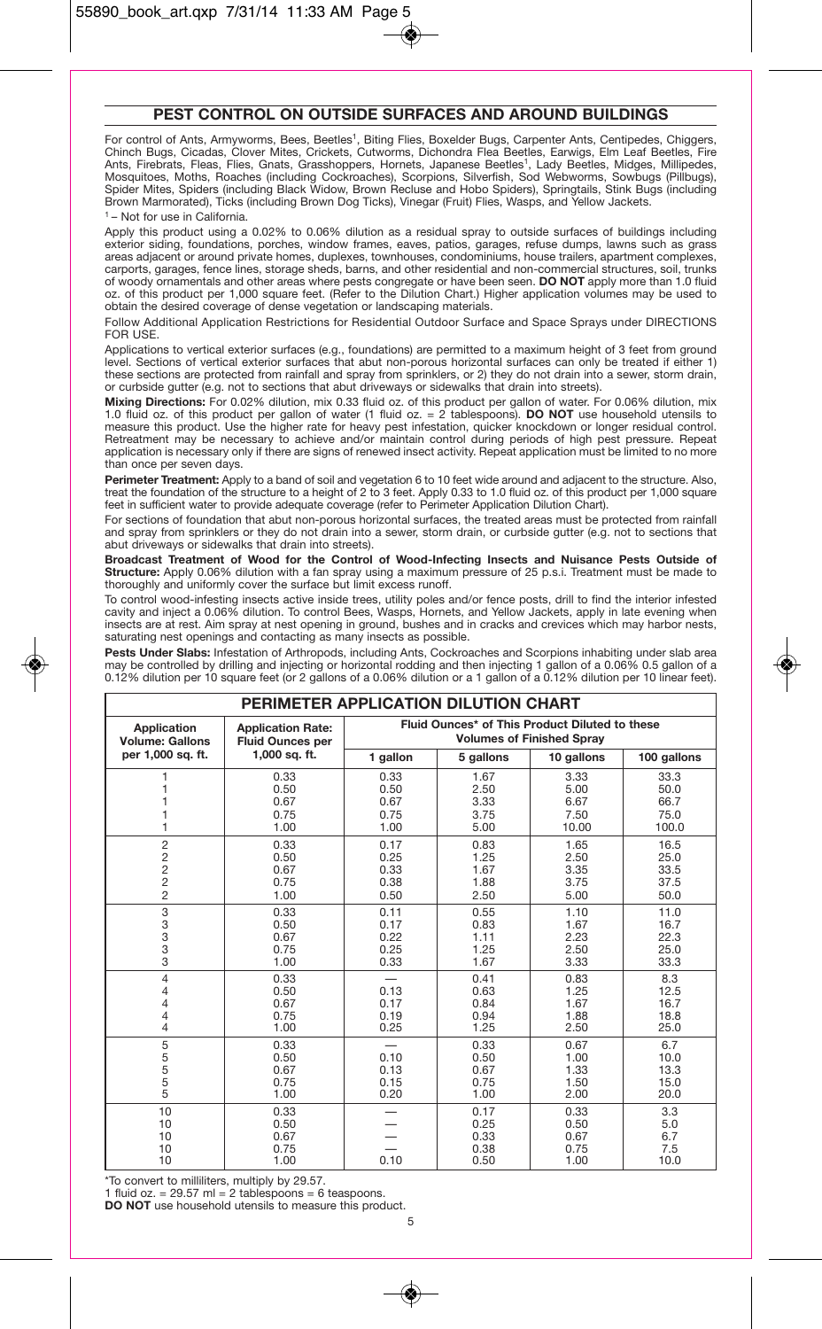# **PEST CONTROL ON OUTSIDE SURFACES AND AROUND BUILDINGS**

For control of Ants, Armyworms, Bees, Beetles<sup>1</sup>, Biting Flies, Boxelder Bugs, Carpenter Ants, Centipedes, Chiggers, Chinch Bugs, Cicadas, Clover Mites, Crickets, Cutworms, Dichondra Flea Beetles, Earwigs, Elm Leaf Beetles, Fire Ants, Firebrats, Fleas, Flies, Gnats, Grasshoppers, Hornets, Japanese Beetles1, Lady Beetles, Midges, Millipedes, Mosquitoes, Moths, Roaches (including Cockroaches), Scorpions, Silverfish, Sod Webworms, Sowbugs (Pillbugs), Spider Mites, Spiders (including Black Widow, Brown Recluse and Hobo Spiders), Springtails, Stink Bugs (including Brown Marmorated), Ticks (including Brown Dog Ticks), Vinegar (Fruit) Flies, Wasps, and Yellow Jackets. 1 – Not for use in California.

Apply this product using a 0.02% to 0.06% dilution as a residual spray to outside surfaces of buildings including exterior siding, foundations, porches, window frames, eaves, patios, garages, refuse dumps, lawns such as grass areas adjacent or around private homes, duplexes, townhouses, condominiums, house trailers, apartment complexes, carports, garages, fence lines, storage sheds, barns, and other residential and non-commercial structures, soil, trunks of woody ornamentals and other areas where pests congregate or have been seen. **DO NOT** apply more than 1.0 fluid oz. of this product per 1,000 square feet. (Refer to the Dilution Chart.) Higher application volumes may be used to obtain the desired coverage of dense vegetation or landscaping materials.

Follow Additional Application Restrictions for Residential Outdoor Surface and Space Sprays under DIRECTIONS FOR USE.

Applications to vertical exterior surfaces (e.g., foundations) are permitted to a maximum height of 3 feet from ground level. Sections of vertical exterior surfaces that abut non-porous horizontal surfaces can only be treated if either 1) these sections are protected from rainfall and spray from sprinklers, or 2) they do not drain into a sewer, storm drain, or curbside gutter (e.g. not to sections that abut driveways or sidewalks that drain into streets).

**Mixing Directions:** For 0.02% dilution, mix 0.33 fluid oz. of this product per gallon of water. For 0.06% dilution, mix 1.0 fluid oz. of this product per gallon of water (1 fluid oz. = 2 tablespoons). **DO NOT** use household utensils to measure this product. Use the higher rate for heavy pest infestation, quicker knockdown or longer residual control. Retreatment may be necessary to achieve and/or maintain control during periods of high pest pressure. Repeat application is necessary only if there are signs of renewed insect activity. Repeat application must be limited to no more than once per seven days.

**Perimeter Treatment:** Apply to a band of soil and vegetation 6 to 10 feet wide around and adjacent to the structure. Also, treat the foundation of the structure to a height of 2 to 3 feet. Apply 0.33 to 1.0 fluid oz. of this product per 1,000 square feet in sufficient water to provide adequate coverage (refer to Perimeter Application Dilution Chart).

For sections of foundation that abut non-porous horizontal surfaces, the treated areas must be protected from rainfall and spray from sprinklers or they do not drain into a sewer, storm drain, or curbside gutter (e.g. not to sections that abut driveways or sidewalks that drain into streets).

**Broadcast Treatment of Wood for the Control of Wood-Infecting Insects and Nuisance Pests Outside of Structure:** Apply 0.06% dilution with a fan spray using a maximum pressure of 25 p.s.i. Treatment must be made to thoroughly and uniformly cover the surface but limit excess runoff.

To control wood-infesting insects active inside trees, utility poles and/or fence posts, drill to find the interior infested cavity and inject a 0.06% dilution. To control Bees, Wasps, Hornets, and Yellow Jackets, apply in late evening when insects are at rest. Aim spray at nest opening in ground, bushes and in cracks and crevices which may harbor nests, saturating nest openings and contacting as many insects as possible.

**Pests Under Slabs:** Infestation of Arthropods, including Ants, Cockroaches and Scorpions inhabiting under slab area may be controlled by drilling and injecting or horizontal rodding and then injecting 1 gallon of a 0.06% 0.5 gallon of a 0.12% dilution per 10 square feet (or 2 gallons of a 0.06% dilution or a 1 gallon of a 0.12% dilution per 10 linear feet).

| PERIMETER APPLICATION DILUTION CHART |                                      |                                                |                                      |                                      |                                     |
|--------------------------------------|--------------------------------------|------------------------------------------------|--------------------------------------|--------------------------------------|-------------------------------------|
| <b>Application</b>                   | <b>Application Rate:</b>             | Fluid Ounces* of This Product Diluted to these |                                      |                                      |                                     |
| <b>Volume: Gallons</b>               | <b>Fluid Ounces per</b>              | <b>Volumes of Finished Spray</b>               |                                      |                                      |                                     |
| per 1,000 sq. ft.                    | 1,000 sq. ft.                        | 1 gallon                                       | 5 gallons                            | 10 gallons                           | 100 gallons                         |
|                                      | 0.33                                 | 0.33                                           | 1.67                                 | 3.33                                 | 33.3                                |
|                                      | 0.50                                 | 0.50                                           | 2.50                                 | 5.00                                 | 50.0                                |
|                                      | 0.67                                 | 0.67                                           | 3.33                                 | 6.67                                 | 66.7                                |
|                                      | 0.75                                 | 0.75                                           | 3.75                                 | 7.50                                 | 75.0                                |
|                                      | 1.00                                 | 1.00                                           | 5.00                                 | 10.00                                | 100.0                               |
| $\overline{c}$                       | 0.33                                 | 0.17                                           | 0.83                                 | 1.65                                 | 16.5                                |
| $\sqrt{2}$                           | 0.50                                 | 0.25                                           | 1.25                                 | 2.50                                 | 25.0                                |
| $\overline{c}$                       | 0.67                                 | 0.33                                           | 1.67                                 | 3.35                                 | 33.5                                |
| $\overline{c}$                       | 0.75                                 | 0.38                                           | 1.88                                 | 3.75                                 | 37.5                                |
| $\overline{2}$                       | 1.00                                 | 0.50                                           | 2.50                                 | 5.00                                 | 50.0                                |
| 3                                    | 0.33                                 | 0.11                                           | 0.55                                 | 1.10                                 | 11.0                                |
| 3                                    | 0.50                                 | 0.17                                           | 0.83                                 | 1.67                                 | 16.7                                |
| 3                                    | 0.67                                 | 0.22                                           | 1.11                                 | 2.23                                 | 22.3                                |
| 3                                    | 0.75                                 | 0.25                                           | 1.25                                 | 2.50                                 | 25.0                                |
| 3                                    | 1.00                                 | 0.33                                           | 1.67                                 | 3.33                                 | 33.3                                |
| 4<br>4<br>4<br>4<br>4                | 0.33<br>0.50<br>0.67<br>0.75<br>1.00 | 0.13<br>0.17<br>0.19<br>0.25                   | 0.41<br>0.63<br>0.84<br>0.94<br>1.25 | 0.83<br>1.25<br>1.67<br>1.88<br>2.50 | 8.3<br>12.5<br>16.7<br>18.8<br>25.0 |
| 5<br>5<br>5<br>5<br>5                | 0.33<br>0.50<br>0.67<br>0.75<br>1.00 | 0.10<br>0.13<br>0.15<br>0.20                   | 0.33<br>0.50<br>0.67<br>0.75<br>1.00 | 0.67<br>1.00<br>1.33<br>1.50<br>2.00 | 6.7<br>10.0<br>13.3<br>15.0<br>20.0 |
| 10                                   | 0.33                                 | 0.10                                           | 0.17                                 | 0.33                                 | 3.3                                 |
| 10                                   | 0.50                                 |                                                | 0.25                                 | 0.50                                 | 5.0                                 |
| 10                                   | 0.67                                 |                                                | 0.33                                 | 0.67                                 | 6.7                                 |
| 10                                   | 0.75                                 |                                                | 0.38                                 | 0.75                                 | 7.5                                 |
| 10                                   | 1.00                                 |                                                | 0.50                                 | 1.00                                 | 10.0                                |

\*To convert to milliliters, multiply by 29.57. 1 fluid oz. = 29.57 ml = 2 tablespoons = 6 teaspoons.

**DO NOT** use household utensils to measure this product.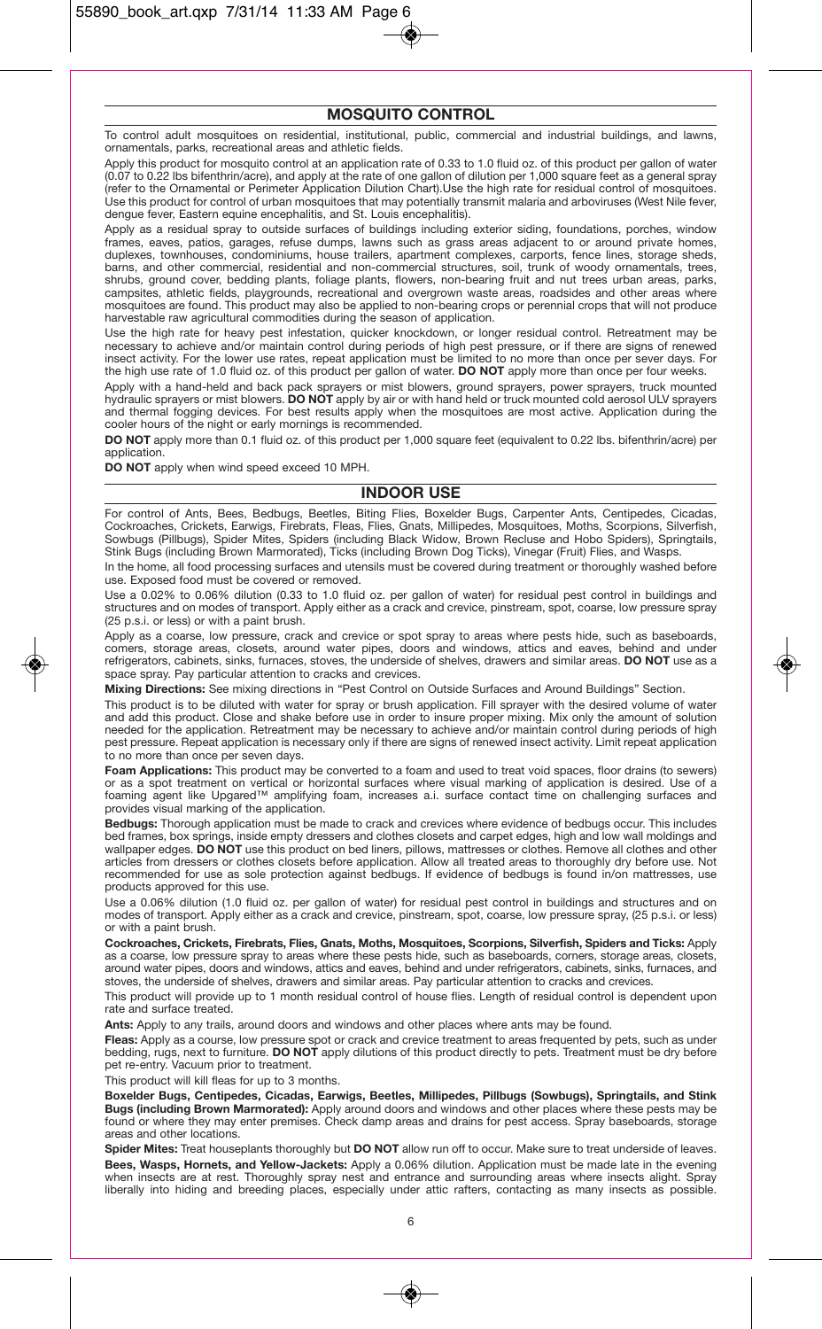# **MOSQUITO CONTROL**

To control adult mosquitoes on residential, institutional, public, commercial and industrial buildings, and lawns, ornamentals, parks, recreational areas and athletic fields.

Apply this product for mosquito control at an application rate of 0.33 to 1.0 fluid oz. of this product per gallon of water (0.07 to 0.22 lbs bifenthrin/acre), and apply at the rate of one gallon of dilution per 1,000 square feet as a general spray (refer to the Ornamental or Perimeter Application Dilution Chart).Use the high rate for residual control of mosquitoes. Use this product for control of urban mosquitoes that may potentially transmit malaria and arboviruses (West Nile fever, dengue fever, Eastern equine encephalitis, and St. Louis encephalitis).

Apply as a residual spray to outside surfaces of buildings including exterior siding, foundations, porches, window frames, eaves, patios, garages, refuse dumps, lawns such as grass areas adjacent to or around private homes, duplexes, townhouses, condominiums, house trailers, apartment complexes, carports, fence lines, storage sheds, barns, and other commercial, residential and non-commercial structures, soil, trunk of woody ornamentals, trees, shrubs, ground cover, bedding plants, foliage plants, flowers, non-bearing fruit and nut trees urban areas, parks, campsites, athletic fields, playgrounds, recreational and overgrown waste areas, roadsides and other areas where mosquitoes are found. This product may also be applied to non-bearing crops or perennial crops that will not produce harvestable raw agricultural commodities during the season of application.

Use the high rate for heavy pest infestation, quicker knockdown, or longer residual control. Retreatment may be necessary to achieve and/or maintain control during periods of high pest pressure, or if there are signs of renewed insect activity. For the lower use rates, repeat application must be limited to no more than once per sever days. For the high use rate of 1.0 fluid oz. of this product per gallon of water. **DO NOT** apply more than once per four weeks.

Apply with a hand-held and back pack sprayers or mist blowers, ground sprayers, power sprayers, truck mounted hydraulic sprayers or mist blowers. **DO NOT** apply by air or with hand held or truck mounted cold aerosol ULV sprayers<br>and thermal fogging devices. For best results apply when the mosquitoes are most active. Application du cooler hours of the night or early mornings is recommended.

**DO NOT** apply more than 0.1 fluid oz. of this product per 1,000 square feet (equivalent to 0.22 lbs. bifenthrin/acre) per application.

**DO NOT** apply when wind speed exceed 10 MPH.

#### **INDOOR USE**

For control of Ants, Bees, Bedbugs, Beetles, Biting Flies, Boxelder Bugs, Carpenter Ants, Centipedes, Cicadas, Cockroaches, Crickets, Earwigs, Firebrats, Fleas, Flies, Gnats, Millipedes, Mosquitoes, Moths, Scorpions, Silverfish, Sowbugs (Pillbugs), Spider Mites, Spiders (including Black Widow, Brown Recluse and Hobo Spiders), Springtails, Stink Bugs (including Brown Marmorated), Ticks (including Brown Dog Ticks), Vinegar (Fruit) Flies, and Wasps.

In the home, all food processing surfaces and utensils must be covered during treatment or thoroughly washed before use. Exposed food must be covered or removed.

Use a 0.02% to 0.06% dilution (0.33 to 1.0 fluid oz. per gallon of water) for residual pest control in buildings and structures and on modes of transport. Apply either as a crack and crevice, pinstream, spot, coarse, low pressure spray (25 p.s.i. or less) or with a paint brush.

Apply as a coarse, low pressure, crack and crevice or spot spray to areas where pests hide, such as baseboards, comers, storage areas, closets, around water pipes, doors and windows, attics and eaves, behind and under refrigerators, cabinets, sinks, furnaces, stoves, the underside of shelves, drawers and similar areas. **DO NOT** use as a space spray. Pay particular attention to cracks and crevices.

**Mixing Directions:** See mixing directions in "Pest Control on Outside Surfaces and Around Buildings" Section.

This product is to be diluted with water for spray or brush application. Fill sprayer with the desired volume of water and add this product. Close and shake before use in order to insure proper mixing. Mix only the amount of solution needed for the application. Retreatment may be necessary to achieve and/or maintain control during periods of high pest pressure. Repeat application is necessary only if there are signs of renewed insect activity. Limit repeat application to no more than once per seven days.

**Foam Applications:** This product may be converted to a foam and used to treat void spaces, floor drains (to sewers) or as a spot treatment on vertical or horizontal surfaces where visual marking of application is desired. Use of a foaming agent like Upgared™ amplifying foam, increases a.i. surface contact time on challenging surfaces and provides visual marking of the application.

**Bedbugs:** Thorough application must be made to crack and crevices where evidence of bedbugs occur. This includes bed frames, box springs, inside empty dressers and clothes closets and carpet edges, high and low wall moldings and wallpaper edges. **DO NOT** use this product on bed liners, pillows, mattresses or clothes. Remove all clothes and other articles from dressers or clothes closets before application. Allow all treated areas to thoroughly dry before use. Not recommended for use as sole protection against bedbugs. If evidence of bedbugs is found in/on mattresses, use products approved for this use.

Use a 0.06% dilution (1.0 fluid oz. per gallon of water) for residual pest control in buildings and structures and on modes of transport. Apply either as a crack and crevice, pinstream, spot, coarse, low pressure spray, (25 p.s.i. or less) or with a paint brush.

**Cockroaches, Crickets, Firebrats, Flies, Gnats, Moths, Mosquitoes, Scorpions, Silverfish, Spiders and Ticks:** Apply as a coarse, low pressure spray to areas where these pests hide, such as baseboards, corners, storage areas, closets, around water pipes, doors and windows, attics and eaves, behind and under refrigerators, cabinets, sinks, furnaces, and stoves, the underside of shelves, drawers and similar areas. Pay particular attention to cracks and crevices.

This product will provide up to 1 month residual control of house flies. Length of residual control is dependent upon rate and surface treated.

**Ants:** Apply to any trails, around doors and windows and other places where ants may be found.

**Fleas:** Apply as a course, low pressure spot or crack and crevice treatment to areas frequented by pets, such as undeı<br>bedding, rugs, next to furniture. **DO NOT** apply dilutions of this product directly to pets. Treatment pet re-entry. Vacuum prior to treatment.

This product will kill fleas for up to 3 months.

**Boxelder Bugs, Centipedes, Cicadas, Earwigs, Beetles, Millipedes, Pillbugs (Sowbugs), Springtails, and Stink Bugs (including Brown Marmorated):** Apply around doors and windows and other places where these pests may be found or where they may enter premises. Check damp areas and drains for pest access. Spray baseboards, storage areas and other locations.

**Spider Mites:** Treat houseplants thoroughly but **DO NOT** allow run off to occur. Make sure to treat underside of leaves. **Bees, Wasps, Hornets, and Yellow-Jackets:** Apply a 0.06% dilution. Application must be made late in the evening when insects are at rest. Thoroughly spray nest and entrance and surrounding areas where insects alight. Spray liberally into hiding and breeding places, especially under attic rafters, contacting as many insects as possible.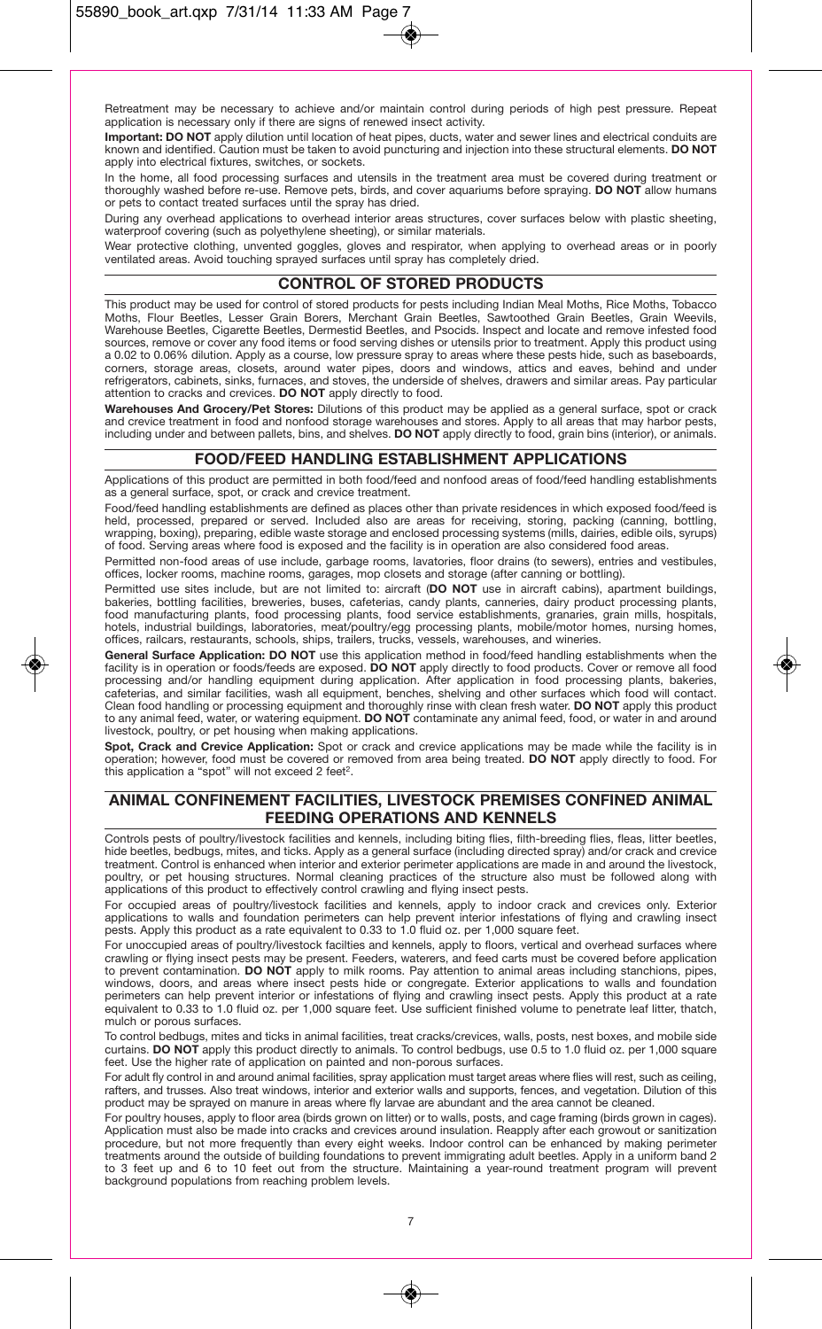Retreatment may be necessary to achieve and/or maintain control during periods of high pest pressure. Repeat application is necessary only if there are signs of renewed insect activity.

**Important: DO NOT** apply dilution until location of heat pipes, ducts, water and sewer lines and electrical conduits are known and identified. Caution must be taken to avoid puncturing and injection into these structural elements. **DO NOT** apply into electrical fixtures, switches, or sockets.

In the home, all food processing surfaces and utensils in the treatment area must be covered during treatment or thoroughly washed before re-use. Remove pets, birds, and cover aquariums before spraying. **DO NOT** allow humans or pets to contact treated surfaces until the spray has dried.

During any overhead applications to overhead interior areas structures, cover surfaces below with plastic sheeting, waterproof covering (such as polyethylene sheeting), or similar materials.

Wear protective clothing, unvented goggles, gloves and respirator, when applying to overhead areas or in poorly ventilated areas. Avoid touching sprayed surfaces until spray has completely dried.

# **CONTROL OF STORED PRODUCTS**

This product may be used for control of stored products for pests including Indian Meal Moths, Rice Moths, Tobacco Moths, Flour Beetles, Lesser Grain Borers, Merchant Grain Beetles, Sawtoothed Grain Beetles, Grain Weevils, Warehouse Beetles, Cigarette Beetles, Dermestid Beetles, and Psocids. Inspect and locate and remove infested food sources, remove or cover any food items or food serving dishes or utensils prior to treatment. Apply this product using a 0.02 to 0.06% dilution. Apply as a course, low pressure spray to areas where these pests hide, such as baseboards, corners, storage areas, closets, around water pipes, doors and windows, attics and eaves, behind and under refrigerators, cabinets, sinks, furnaces, and stoves, the underside of shelves, drawers and similar areas. Pay particular attention to cracks and crevices. **DO NOT** apply directly to food.

**Warehouses And Grocery/Pet Stores:** Dilutions of this product may be applied as a general surface, spot or crack and crevice treatment in food and nonfood storage warehouses and stores. Apply to all areas that may harbor pests, including under and between pallets, bins, and shelves. **DO NOT** apply directly to food, grain bins (interior), or animals.

# **FOOD/FEED HANDLING ESTABLISHMENT APPLICATIONS**

Applications of this product are permitted in both food/feed and nonfood areas of food/feed handling establishments as a general surface, spot, or crack and crevice treatment.

Food/feed handling establishments are defined as places other than private residences in which exposed food/feed is held, processed, prepared or served. Included also are areas for receiving, storing, packing (canning, bottling, wrapping, boxing), preparing, edible waste storage and enclosed processing systems (mills, dairies, edible oils, syrups) of food. Serving areas where food is exposed and the facility is in operation are also considered food areas.

Permitted non-food areas of use include, garbage rooms, lavatories, floor drains (to sewers), entries and vestibules, offices, locker rooms, machine rooms, garages, mop closets and storage (after canning or bottling).

Permitted use sites include, but are not limited to: aircraft (**DO NOT** use in aircraft cabins), apartment buildings, bakeries, bottling facilities, breweries, buses, cafeterias, candy plants, canneries, dairy product processing plants, food manufacturing plants, food processing plants, food service establishments, granaries, grain mills, hospitals, hotels, industrial buildings, laboratories, meat/poultry/egg processing plants, mobile/motor homes, nursing homes, offices, railcars, restaurants, schools, ships, trailers, trucks, vessels, warehouses, and wineries.

**General Surface Application: DO NOT** use this application method in food/feed handling establishments when the facility is in operation or foods/feeds are exposed. **DO NOT** apply directly to food products. Cover or remove all food processing and/or handling equipment during application. After application in food processing plants, bakeries,<br>cafeterias, and similar facilities, wash all equipment, benches, shelving and other surfaces which food will c Clean food handling or processing equipment and thoroughly rinse with clean fresh water. **DO NOT** apply this product to any animal feed, water, or watering equipment. **DO NOT** contaminate any animal feed, food, or water in and around livestock, poultry, or pet housing when making applications.

**Spot, Crack and Crevice Application:** Spot or crack and crevice applications may be made while the facility is in operation; however, food must be covered or removed from area being treated. **DO NOT** apply directly to food. For this application a "spot" will not exceed 2 feet<sup>2</sup>.

#### **ANIMAL CONFINEMENT FACILITIES, LIVESTOCK PREMISES CONFINED ANIMAL FEEDING OPERATIONS AND KENNELS**

Controls pests of poultry/livestock facilities and kennels, including biting flies, filth-breeding flies, fleas, litter beetles, hide beetles, bedbugs, mites, and ticks. Apply as a general surface (including directed spray) and/or crack and crevice treatment. Control is enhanced when interior and exterior perimeter applications are made in and around the livestock, poultry, or pet housing structures. Normal cleaning practices of the structure also must be followed along with applications of this product to effectively control crawling and flying insect pests.

For occupied areas of poultry/livestock facilities and kennels, apply to indoor crack and crevices only. Exterior applications to walls and foundation perimeters can help prevent interior infestations of flying and crawling insect pests. Apply this product as a rate equivalent to 0.33 to 1.0 fluid oz. per 1,000 square feet.

For unoccupied areas of poultry/livestock facilties and kennels, apply to floors, vertical and overhead surfaces where crawling or flying insect pests may be present. Feeders, waterers, and feed carts must be covered before application to prevent contamination. **DO NOT** apply to milk rooms. Pay attention to animal areas including stanchions, pipes, windows, doors, and areas where insect pests hide or congregate. Exterior applications to walls and foundation perimeters can help prevent interior or infestations of flying and crawling insect pests. Apply this product at a rate<br>equivalent to 0.33 to 1.0 fluid oz. per 1,000 square feet. Use sufficient finished volume to penetrate mulch or porous surfaces.

To control bedbugs, mites and ticks in animal facilities, treat cracks/crevices, walls, posts, nest boxes, and mobile side curtains. **DO NOT** apply this product directly to animals. To control bedbugs, use 0.5 to 1.0 fluid oz. per 1,000 square feet. Use the higher rate of application on painted and non-porous surfaces.

For adult fly control in and around animal facilities, spray application must target areas where flies will rest, such as ceiling, rafters, and trusses. Also treat windows, interior and exterior walls and supports, fences, and vegetation. Dilution of this product may be sprayed on manure in areas where fly larvae are abundant and the area cannot be cleaned.

For poultry houses, apply to floor area (birds grown on litter) or to walls, posts, and cage framing (birds grown in cages). Application must also be made into cracks and crevices around insulation. Reapply after each growout or sanitization procedure, but not more frequently than every eight weeks. Indoor control can be enhanced by making perimeter treatments around the outside of building foundations to prevent immigrating adult beetles. Apply in a uniform band 2 to 3 feet up and 6 to 10 feet out from the structure. Maintaining a year-round treatment program will prevent background populations from reaching problem levels.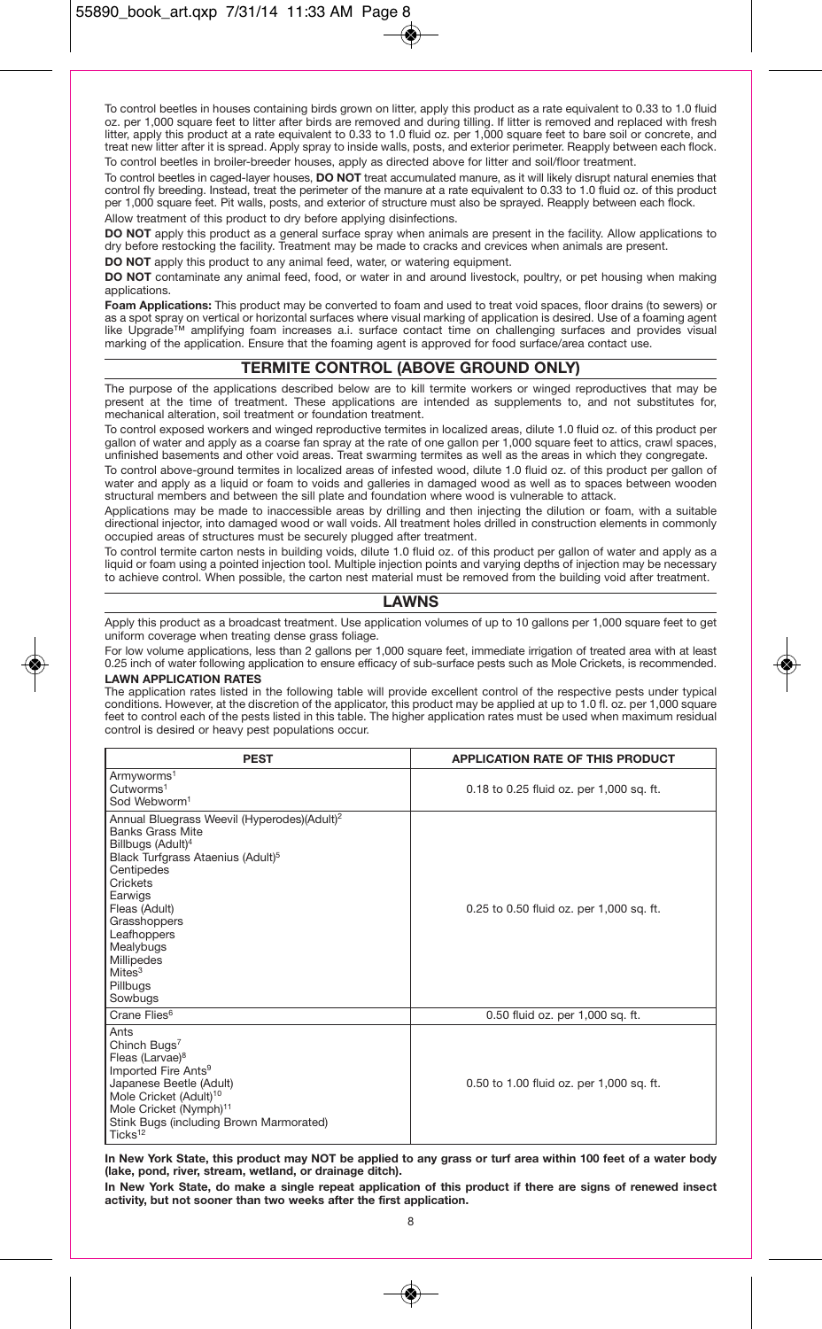To control beetles in houses containing birds grown on litter, apply this product as a rate equivalent to 0.33 to 1.0 fluid oz. per 1,000 square feet to litter after birds are removed and during tilling. If litter is removed and replaced with fresh litter, apply this product at a rate equivalent to 0.33 to 1.0 fluid oz. per 1,000 square feet to bare soil or concrete, and treat new litter after it is spread. Apply spray to inside walls, posts, and exterior perimeter. Reapply between each flock.

To control beetles in broiler-breeder houses, apply as directed above for litter and soil/floor treatment.

To control beetles in caged-layer houses, **DO NOT** treat accumulated manure, as it will likely disrupt natural enemies that control fly breeding. Instead, treat the perimeter of the manure at a rate equivalent to 0.33 to 1.0 fluid oz. of this product per 1,000 square feet. Pit walls, posts, and exterior of structure must also be sprayed. Reapply between each flock. Allow treatment of this product to dry before applying disinfections.

**DO NOT** apply this product as a general surface spray when animals are present in the facility. Allow applications to dry before restocking the facility. Treatment may be made to cracks and crevices when animals are present.

**DO NOT** apply this product to any animal feed, water, or watering equipment.

**DO NOT** contaminate any animal feed, food, or water in and around livestock, poultry, or pet housing when making applications.

**Foam Applications:** This product may be converted to foam and used to treat void spaces, floor drains (to sewers) or as a spot spray on vertical or horizontal surfaces where visual marking of application is desired. Use of a foaming agent<br>like Upgrade™ amplifying foam increases a.i. surface contact time on challenging surfaces and provi marking of the application. Ensure that the foaming agent is approved for food surface/area contact use.

# **TERMITE CONTROL (ABOVE GROUND ONLY)**

The purpose of the applications described below are to kill termite workers or winged reproductives that may be present at the time of treatment. These applications are intended as supplements to, and not substitutes for, mechanical alteration, soil treatment or foundation treatment.

To control exposed workers and winged reproductive termites in localized areas, dilute 1.0 fluid oz. of this product per gallon of water and apply as a coarse fan spray at the rate of one gallon per 1,000 square feet to attics, crawl spaces. unfinished basements and other void areas. Treat swarming termites as well as the areas in which they congregate.

To control above-ground termites in localized areas of infested wood, dilute 1.0 fluid oz. of this product per gallon of water and apply as a liquid or foam to voids and galleries in damaged wood as well as to spaces between wooden structural members and between the sill plate and foundation where wood is vulnerable to attack.

Applications may be made to inaccessible areas by drilling and then injecting the dilution or foam, with a suitable directional injector, into damaged wood or wall voids. All treatment holes drilled in construction elements in commonly occupied areas of structures must be securely plugged after treatment.

To control termite carton nests in building voids, dilute 1.0 fluid oz. of this product per gallon of water and apply as a liquid or foam using a pointed injection tool. Multiple injection points and varying depths of injection may be necessary to achieve control. When possible, the carton nest material must be removed from the building void after treatment.

# **LAWNS**

Apply this product as a broadcast treatment. Use application volumes of up to 10 gallons per 1,000 square feet to get uniform coverage when treating dense grass foliage.

For low volume applications, less than 2 gallons per 1,000 square feet, immediate irrigation of treated area with at least 0.25 inch of water following application to ensure efficacy of sub-surface pests such as Mole Crickets, is recommended.

#### **LAWN APPLICATION RATES**

The application rates listed in the following table will provide excellent control of the respective pests under typical conditions. However, at the discretion of the applicator, this product may be applied at up to 1.0 fl. oz. per 1,000 square feet to control each of the pests listed in this table. The higher application rates must be used when maximum residual control is desired or heavy pest populations occur.

| <b>PEST</b>                                                                                                                                                                                                                                                                                                                       | <b>APPLICATION RATE OF THIS PRODUCT</b>  |
|-----------------------------------------------------------------------------------------------------------------------------------------------------------------------------------------------------------------------------------------------------------------------------------------------------------------------------------|------------------------------------------|
| Armyworms <sup>1</sup><br>Cutworms <sup>1</sup><br>Sod Webworm <sup>1</sup>                                                                                                                                                                                                                                                       | 0.18 to 0.25 fluid oz. per 1,000 sq. ft. |
| Annual Bluegrass Weevil (Hyperodes)(Adult) <sup>2</sup><br><b>Banks Grass Mite</b><br>Billbugs (Adult) <sup>4</sup><br>Black Turfgrass Ataenius (Adult) <sup>5</sup><br>Centipedes<br>Crickets<br>Earwigs<br>Fleas (Adult)<br>Grasshoppers<br>Leafhoppers<br>Mealybugs<br>Millipedes<br>Mites <sup>3</sup><br>Pillbugs<br>Sowbugs | 0.25 to 0.50 fluid oz. per 1,000 sq. ft. |
| Crane Flies <sup>6</sup>                                                                                                                                                                                                                                                                                                          | 0.50 fluid oz. per 1,000 sq. ft.         |
| Ants<br>Chinch Bugs <sup>7</sup><br>Fleas (Larvae) <sup>8</sup><br>Imported Fire Ants <sup>9</sup><br>Japanese Beetle (Adult)<br>Mole Cricket (Adult) <sup>10</sup><br>Mole Cricket (Nymph) <sup>11</sup><br>Stink Bugs (including Brown Marmorated)<br>Ticks <sup>12</sup>                                                       | 0.50 to 1.00 fluid oz. per 1,000 sq. ft. |

**In New York State, this product may NOT be applied to any grass or turf area within 100 feet of a water body (lake, pond, river, stream, wetland, or drainage ditch).**

**In New York State, do make a single repeat application of this product if there are signs of renewed insect activity, but not sooner than two weeks after the first application.**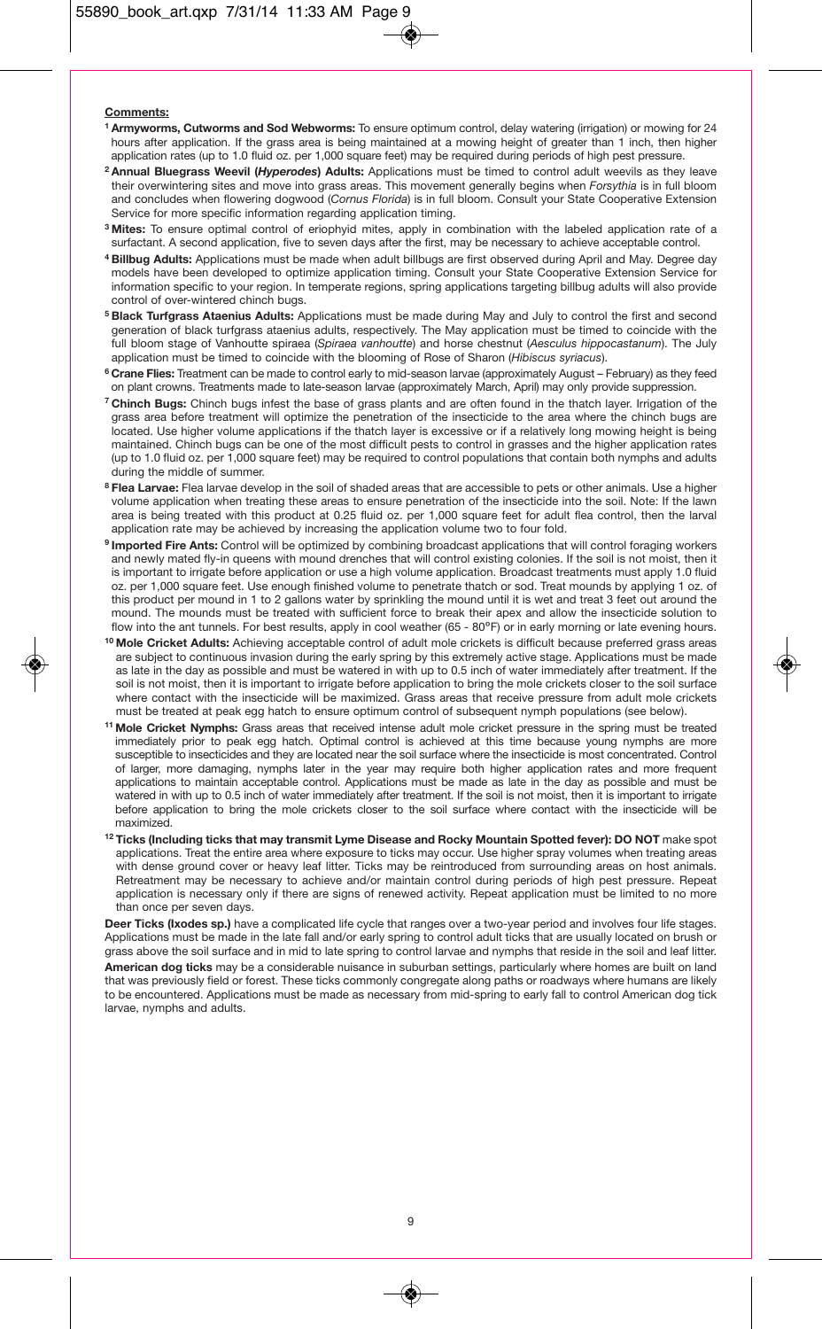#### **Comments:**

- **1 Armyworms, Cutworms and Sod Webworms:** To ensure optimum control, delay watering (irrigation) or mowing for 24 hours after application. If the grass area is being maintained at a mowing height of greater than 1 inch, then higher application rates (up to 1.0 fluid oz. per 1,000 square feet) may be required during periods of high pest pressure.
- **2 Annual Bluegrass Weevil (***Hyperodes***) Adults:** Applications must be timed to control adult weevils as they leave their overwintering sites and move into grass areas. This movement generally begins when *Forsythia* is in full bloom and concludes when flowering dogwood (*Cornus Florida*) is in full bloom. Consult your State Cooperative Extension Service for more specific information regarding application timing.
- **3 Mites:** To ensure optimal control of eriophyid mites, apply in combination with the labeled application rate of a surfactant. A second application, five to seven days after the first, may be necessary to achieve acceptable control.
- **4 Billbug Adults:** Applications must be made when adult billbugs are first observed during April and May. Degree day models have been developed to optimize application timing. Consult your State Cooperative Extension Service for information specific to your region. In temperate regions, spring applications targeting billbug adults will also provide control of over-wintered chinch bugs.
- **5 Black Turfgrass Ataenius Adults:** Applications must be made during May and July to control the first and second generation of black turfgrass ataenius adults, respectively. The May application must be timed to coincide with the full bloom stage of Vanhoutte spiraea (*Spiraea vanhoutte*) and horse chestnut (*Aesculus hippocastanum*). The July application must be timed to coincide with the blooming of Rose of Sharon (*Hibiscus syriacus*).
- **6 Crane Flies:** Treatment can be made to control early to mid-season larvae (approximately August February) as they feed on plant crowns. Treatments made to late-season larvae (approximately March, April) may only provide suppression.
- **7 Chinch Bugs:** Chinch bugs infest the base of grass plants and are often found in the thatch layer. Irrigation of the grass area before treatment will optimize the penetration of the insecticide to the area where the chinch bugs are located. Use higher volume applications if the thatch layer is excessive or if a relatively long mowing height is being maintained. Chinch bugs can be one of the most difficult pests to control in grasses and the higher application rates (up to 1.0 fluid oz. per 1,000 square feet) may be required to control populations that contain both nymphs and adults during the middle of summer.
- **8 Flea Larvae:** Flea larvae develop in the soil of shaded areas that are accessible to pets or other animals. Use a higher volume application when treating these areas to ensure penetration of the insecticide into the soil. Note: If the lawn area is being treated with this product at 0.25 fluid oz. per 1,000 square feet for adult flea control, then the larval application rate may be achieved by increasing the application volume two to four fold.
- **9 Imported Fire Ants:** Control will be optimized by combining broadcast applications that will control foraging workers and newly mated fly-in queens with mound drenches that will control existing colonies. If the soil is not moist, then it is important to irrigate before application or use a high volume application. Broadcast treatments must apply 1.0 fluid oz. per 1,000 square feet. Use enough finished volume to penetrate thatch or sod. Treat mounds by applying 1 oz. of this product per mound in 1 to 2 gallons water by sprinkling the mound until it is wet and treat 3 feet out around the mound. The mounds must be treated with sufficient force to break their apex and allow the insecticide solution to flow into the ant tunnels. For best results, apply in cool weather (65 - 80ºF) or in early morning or late evening hours.
- **10 Mole Cricket Adults:** Achieving acceptable control of adult mole crickets is difficult because preferred grass areas are subject to continuous invasion during the early spring by this extremely active stage. Applications must be made as late in the day as possible and must be watered in with up to 0.5 inch of water immediately after treatment. If the soil is not moist, then it is important to irrigate before application to bring the mole crickets closer to the soil surface where contact with the insecticide will be maximized. Grass areas that receive pressure from adult mole crickets must be treated at peak egg hatch to ensure optimum control of subsequent nymph populations (see below).
- **11 Mole Cricket Nymphs:** Grass areas that received intense adult mole cricket pressure in the spring must be treated immediately prior to peak egg hatch. Optimal control is achieved at this time because young nymphs are more susceptible to insecticides and they are located near the soil surface where the insecticide is most concentrated. Control of larger, more damaging, nymphs later in the year may require both higher application rates and more frequent applications to maintain acceptable control. Applications must be made as late in the day as possible and must be watered in with up to 0.5 inch of water immediately after treatment. If the soil is not moist, then it is important to irrigate before application to bring the mole crickets closer to the soil surface where contact with the insecticide will be maximized.
- **12 Ticks (Including ticks that may transmit Lyme Disease and Rocky Mountain Spotted fever): DO NOT** make spot applications. Treat the entire area where exposure to ticks may occur. Use higher spray volumes when treating areas with dense ground cover or heavy leaf litter. Ticks may be reintroduced from surrounding areas on host animals. Retreatment may be necessary to achieve and/or maintain control during periods of high pest pressure. Repeat application is necessary only if there are signs of renewed activity. Repeat application must be limited to no more than once per seven days.

**Deer Ticks (Ixodes sp.)** have a complicated life cycle that ranges over a two-year period and involves four life stages. Applications must be made in the late fall and/or early spring to control adult ticks that are usually located on brush or grass above the soil surface and in mid to late spring to control larvae and nymphs that reside in the soil and leaf litter. **American dog ticks** may be a considerable nuisance in suburban settings, particularly where homes are built on land that was previously field or forest. These ticks commonly congregate along paths or roadways where humans are likely to be encountered. Applications must be made as necessary from mid-spring to early fall to control American dog tick larvae, nymphs and adults.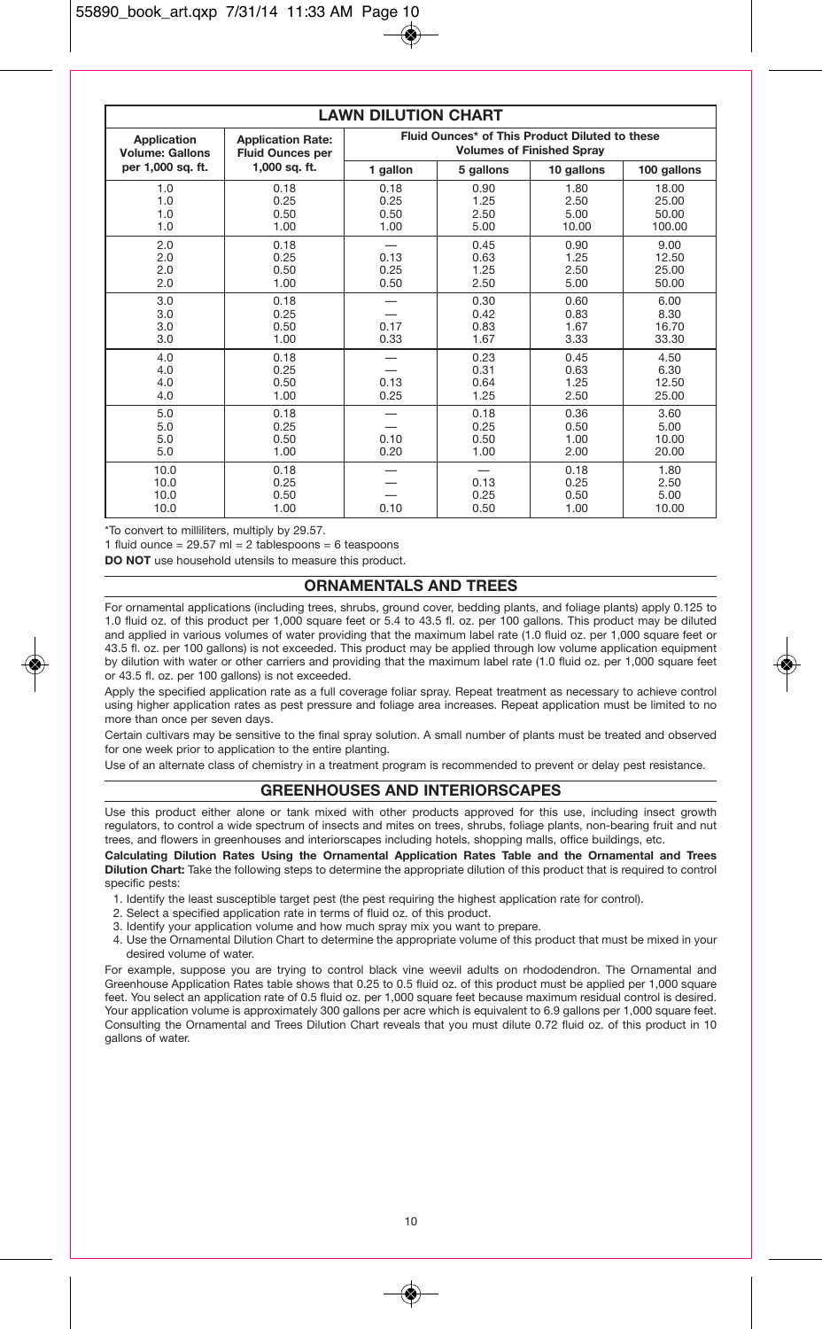| <b>LAWN DILUTION CHART</b>            |                                                     |                                                                                    |                              |                               |                                   |
|---------------------------------------|-----------------------------------------------------|------------------------------------------------------------------------------------|------------------------------|-------------------------------|-----------------------------------|
| Application<br><b>Volume: Gallons</b> | <b>Application Rate:</b><br><b>Fluid Ounces per</b> | Fluid Ounces* of This Product Diluted to these<br><b>Volumes of Finished Spray</b> |                              |                               |                                   |
| per 1.000 sa. ft.                     | 1.000 sa. ft.                                       | 1 gallon                                                                           | 5 gallons                    | 10 gallons                    | 100 gallons                       |
| 1.0<br>1.0<br>1.0<br>1.0              | 0.18<br>0.25<br>0.50<br>1.00                        | 0.18<br>0.25<br>0.50<br>1.00                                                       | 0.90<br>1.25<br>2.50<br>5.00 | 1.80<br>2.50<br>5.00<br>10.00 | 18.00<br>25.00<br>50.00<br>100.00 |
| 2.0<br>2.0<br>2.0<br>2.0              | 0.18<br>0.25<br>0.50<br>1.00                        | 0.13<br>0.25<br>0.50                                                               | 0.45<br>0.63<br>1.25<br>2.50 | 0.90<br>1.25<br>2.50<br>5.00  | 9.00<br>12.50<br>25.00<br>50.00   |
| 3.0<br>3.0<br>3.0<br>3.0              | 0.18<br>0.25<br>0.50<br>1.00                        | 0.17<br>0.33                                                                       | 0.30<br>0.42<br>0.83<br>1.67 | 0.60<br>0.83<br>1.67<br>3.33  | 6.00<br>8.30<br>16.70<br>33.30    |
| 4.0<br>4.0<br>4.0<br>4.0              | 0.18<br>0.25<br>0.50<br>1.00                        | 0.13<br>0.25                                                                       | 0.23<br>0.31<br>0.64<br>1.25 | 0.45<br>0.63<br>1.25<br>2.50  | 4.50<br>6.30<br>12.50<br>25.00    |
| 5.0<br>5.0<br>5.0<br>5.0              | 0.18<br>0.25<br>0.50<br>1.00                        | 0.10<br>0.20                                                                       | 0.18<br>0.25<br>0.50<br>1.00 | 0.36<br>0.50<br>1.00<br>2.00  | 3.60<br>5.00<br>10.00<br>20.00    |
| 10.0<br>10.0<br>10.0<br>10.0          | 0.18<br>0.25<br>0.50<br>1.00                        | 0.10                                                                               | 0.13<br>0.25<br>0.50         | 0.18<br>0.25<br>0.50<br>1.00  | 1.80<br>2.50<br>5.00<br>10.00     |

\*To convert to milliliters, multiply by 29.57.

1 fluid ounce =  $29.57$  ml = 2 tablespoons = 6 teaspoons

**DO NOT** use household utensils to measure this product.

# **ORNAMENTALS AND TREES**

For ornamental applications (including trees, shrubs, ground cover, bedding plants, and foliage plants) apply 0.125 to 1.0 fluid oz. of this product per 1,000 square feet or 5.4 to 43.5 fl. oz. per 100 gallons. This product may be diluted and applied in various volumes of water providing that the maximum label rate (1.0 fluid oz. per 1,000 square feet or 43.5 fl. oz. per 100 gallons) is not exceeded. This product may be applied through low volume application equipment by dilution with water or other carriers and providing that the maximum label rate (1.0 fluid oz. per 1,000 square feet or 43.5 fl. oz. per 100 gallons) is not exceeded.

Apply the specified application rate as a full coverage foliar spray. Repeat treatment as necessary to achieve control using higher application rates as pest pressure and foliage area increases. Repeat application must be limited to no more than once per seven days.

Certain cultivars may be sensitive to the final spray solution. A small number of plants must be treated and observed for one week prior to application to the entire planting.

Use of an alternate class of chemistry in a treatment program is recommended to prevent or delay pest resistance.

# **GREENHOUSES AND INTERIORSCAPES**

Use this product either alone or tank mixed with other products approved for this use, including insect growth regulators, to control a wide spectrum of insects and mites on trees, shrubs, foliage plants, non-bearing fruit and nut trees, and flowers in greenhouses and interiorscapes including hotels, shopping malls, office buildings, etc.

**Calculating Dilution Rates Using the Ornamental Application Rates Table and the Ornamental and Trees Dilution Chart:** Take the following steps to determine the appropriate dilution of this product that is required to control specific pests:

- 1. Identify the least susceptible target pest (the pest requiring the highest application rate for control).
- 2. Select a specified application rate in terms of fluid oz. of this product.
- 3. Identify your application volume and how much spray mix you want to prepare.
- 4. Use the Ornamental Dilution Chart to determine the appropriate volume of this product that must be mixed in your desired volume of water.

For example, suppose you are trying to control black vine weevil adults on rhododendron. The Ornamental and Greenhouse Application Rates table shows that 0.25 to 0.5 fluid oz. of this product must be applied per 1,000 square feet. You select an application rate of 0.5 fluid oz. per 1,000 square feet because maximum residual control is desired. Your application volume is approximately 300 gallons per acre which is equivalent to 6.9 gallons per 1,000 square feet. Consulting the Ornamental and Trees Dilution Chart reveals that you must dilute 0.72 fluid oz. of this product in 10 gallons of water.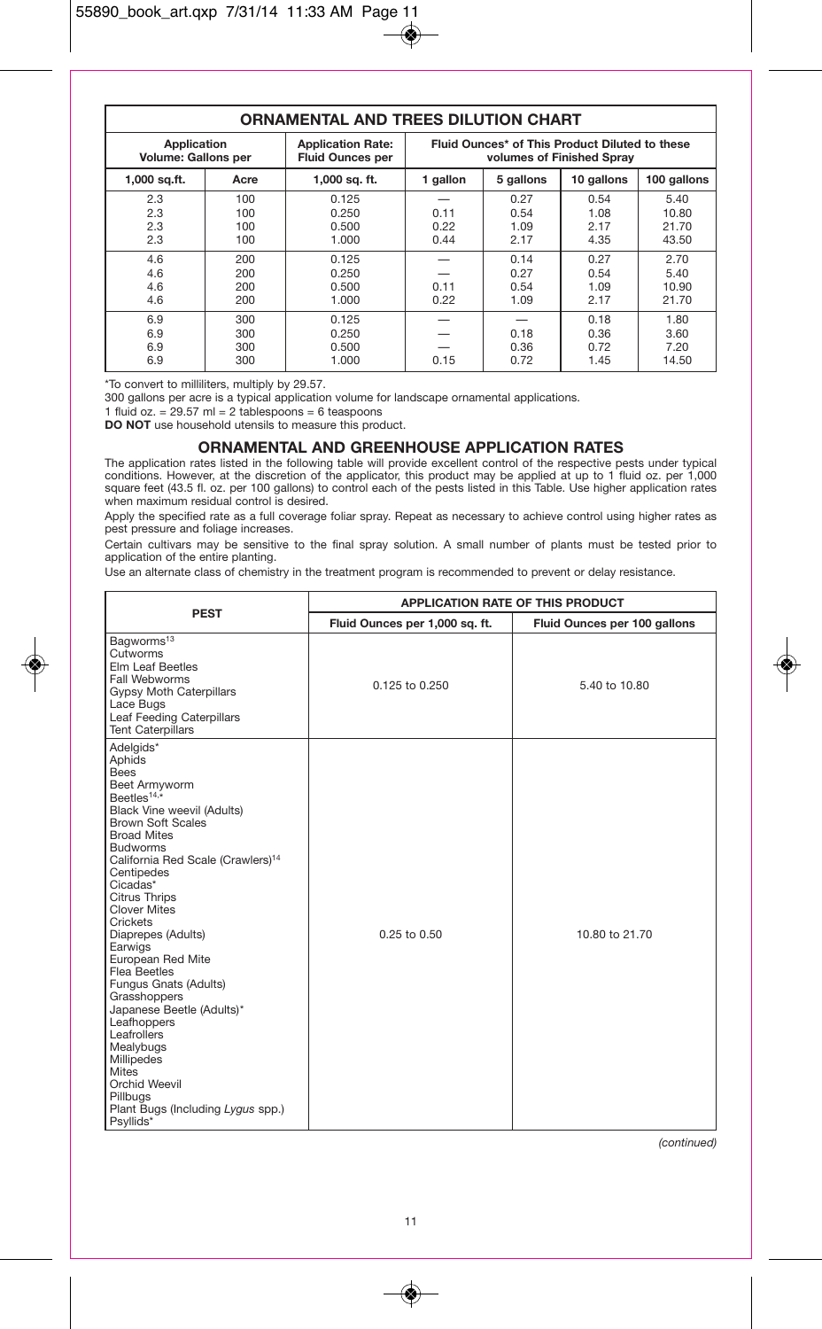# **ORNAMENTAL AND TREES DILUTION CHART**

| Application<br><b>Volume: Gallons per</b> |                          | <b>Application Rate:</b><br><b>Fluid Ounces per</b> | Fluid Ounces* of This Product Diluted to these<br>volumes of Finished Sprav |                              |                              |                                 |
|-------------------------------------------|--------------------------|-----------------------------------------------------|-----------------------------------------------------------------------------|------------------------------|------------------------------|---------------------------------|
| $1,000$ sq.ft.                            | Acre                     | 1,000 sq. ft.                                       | 1 gallon                                                                    | 5 gallons                    | 10 gallons                   | 100 gallons                     |
| 2.3<br>2.3<br>2.3<br>2.3                  | 100<br>100<br>100<br>100 | 0.125<br>0.250<br>0.500<br>1.000                    | 0.11<br>0.22<br>0.44                                                        | 0.27<br>0.54<br>1.09<br>2.17 | 0.54<br>1.08<br>2.17<br>4.35 | 5.40<br>10.80<br>21.70<br>43.50 |
| 4.6<br>4.6<br>4.6<br>4.6                  | 200<br>200<br>200<br>200 | 0.125<br>0.250<br>0.500<br>1.000                    | 0.11<br>0.22                                                                | 0.14<br>0.27<br>0.54<br>1.09 | 0.27<br>0.54<br>1.09<br>2.17 | 2.70<br>5.40<br>10.90<br>21.70  |
| 6.9<br>6.9<br>6.9<br>6.9                  | 300<br>300<br>300<br>300 | 0.125<br>0.250<br>0.500<br>1.000                    | 0.15                                                                        | 0.18<br>0.36<br>0.72         | 0.18<br>0.36<br>0.72<br>1.45 | 1.80<br>3.60<br>7.20<br>14.50   |

\*To convert to milliliters, multiply by 29.57.

300 gallons per acre is a typical application volume for landscape ornamental applications.

1 fluid oz. =  $29.57$  ml = 2 tablespoons = 6 teaspoons

**DO NOT** use household utensils to measure this product.

#### **ORNAMENTAL AND GREENHOUSE APPLICATION RATES**

The application rates listed in the following table will provide excellent control of the respective pests under typical conditions. However, at the discretion of the applicator, this product may be applied at up to 1 fluid oz. per 1,000 square feet (43.5 fl. oz. per 100 gallons) to control each of the pests listed in this Table. Use higher application rates when maximum residual control is desired.

Apply the specified rate as a full coverage foliar spray. Repeat as necessary to achieve control using higher rates as pest pressure and foliage increases.

Certain cultivars may be sensitive to the final spray solution. A small number of plants must be tested prior to application of the entire planting.

Use an alternate class of chemistry in the treatment program is recommended to prevent or delay resistance.

|                                                                                                                                                                                                                                                                                                                                                                                                                                                                                                                                                                                                                                                     | <b>APPLICATION RATE OF THIS PRODUCT</b> |                              |  |
|-----------------------------------------------------------------------------------------------------------------------------------------------------------------------------------------------------------------------------------------------------------------------------------------------------------------------------------------------------------------------------------------------------------------------------------------------------------------------------------------------------------------------------------------------------------------------------------------------------------------------------------------------------|-----------------------------------------|------------------------------|--|
| <b>PEST</b>                                                                                                                                                                                                                                                                                                                                                                                                                                                                                                                                                                                                                                         | Fluid Ounces per 1,000 sq. ft.          | Fluid Ounces per 100 gallons |  |
| Bagworms <sup>13</sup><br>Cutworms<br>Elm Leaf Beetles<br>Fall Webworms<br>Gypsy Moth Caterpillars<br>Lace Bugs<br>Leaf Feeding Caterpillars<br><b>Tent Caterpillars</b>                                                                                                                                                                                                                                                                                                                                                                                                                                                                            | 0.125 to 0.250                          | 5.40 to 10.80                |  |
| Adelgids*<br>Aphids<br><b>Bees</b><br>Beet Armyworm<br>Beetles <sup>14,<math>\star</math></sup><br><b>Black Vine weevil (Adults)</b><br><b>Brown Soft Scales</b><br><b>Broad Mites</b><br><b>Budworms</b><br>California Red Scale (Crawlers) <sup>14</sup><br>Centipedes<br>Cicadas*<br><b>Citrus Thrips</b><br><b>Clover Mites</b><br>Crickets<br>Diaprepes (Adults)<br>Earwigs<br>European Red Mite<br><b>Flea Beetles</b><br>Fungus Gnats (Adults)<br>Grasshoppers<br>Japanese Beetle (Adults)*<br>Leafhoppers<br>Leafrollers<br>Mealybugs<br>Millipedes<br>Mites<br>Orchid Weevil<br>Pillbugs<br>Plant Bugs (Including Lygus spp.)<br>Psyllids* | $0.25$ to $0.50$                        | 10.80 to 21.70               |  |

*(continued)*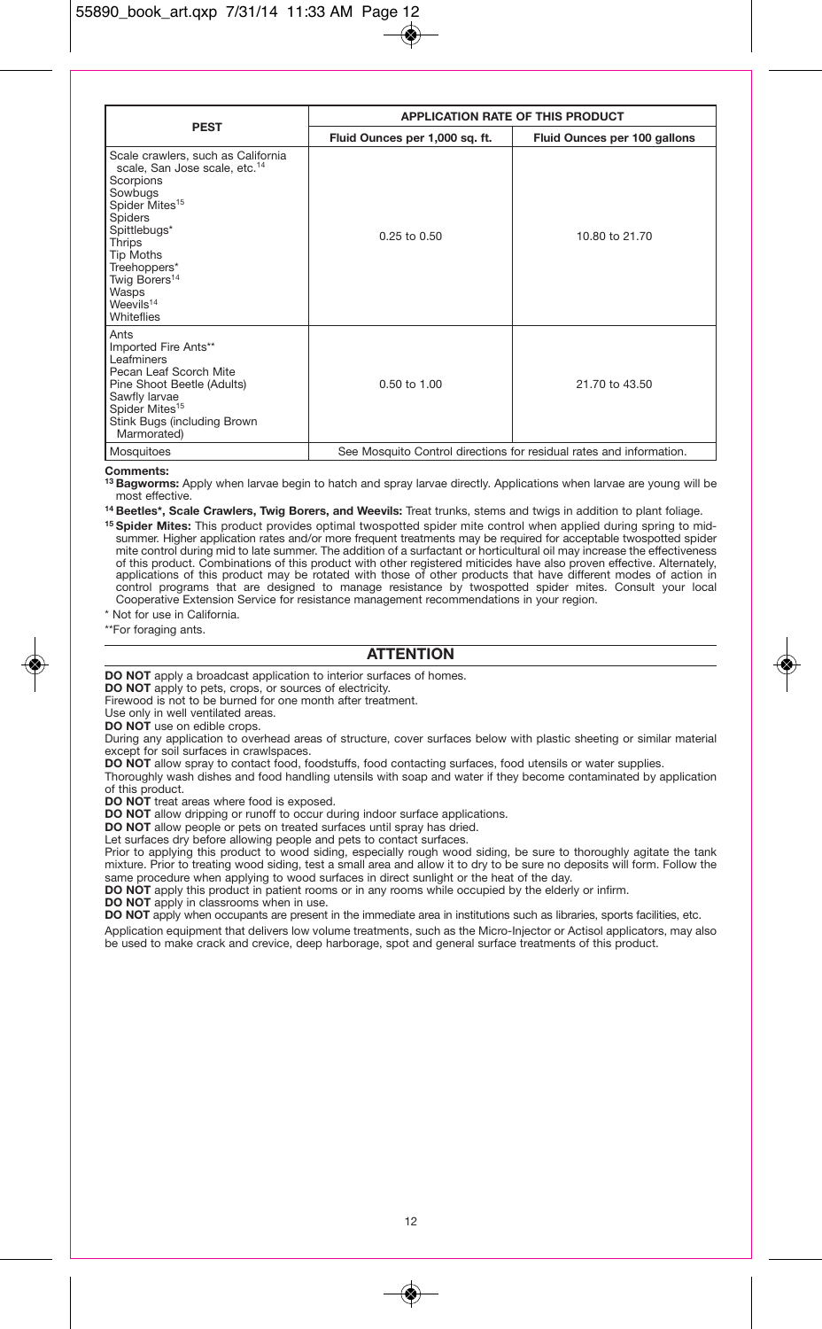|                                                                                                                                                                                                                                                                                      | <b>APPLICATION RATE OF THIS PRODUCT</b>                             |                              |  |
|--------------------------------------------------------------------------------------------------------------------------------------------------------------------------------------------------------------------------------------------------------------------------------------|---------------------------------------------------------------------|------------------------------|--|
| <b>PEST</b>                                                                                                                                                                                                                                                                          | Fluid Ounces per 1,000 sq. ft.                                      | Fluid Ounces per 100 gallons |  |
| Scale crawlers, such as California<br>scale, San Jose scale, etc. <sup>14</sup><br>Scorpions<br>Sowbugs<br>Spider Mites <sup>15</sup><br>Spiders<br>Spittlebugs*<br>Thrips<br>Tip Moths<br>Treehoppers*<br>Twig Borers <sup>14</sup><br>Wasps<br>Weevils <sup>14</sup><br>Whiteflies | $0.25$ to $0.50$                                                    | 10.80 to 21.70               |  |
| Ants<br>Imported Fire Ants**<br>Leafminers<br>Pecan Leaf Scorch Mite<br>Pine Shoot Beetle (Adults)<br>Sawfly larvae<br>Spider Mites <sup>15</sup><br>Stink Bugs (including Brown<br>Marmorated)                                                                                      | $0.50$ to $1.00$                                                    | 21.70 to 43.50               |  |
| Mosquitoes                                                                                                                                                                                                                                                                           | See Mosquito Control directions for residual rates and information. |                              |  |

#### **Comments:**

**13 Bagworms:** Apply when larvae begin to hatch and spray larvae directly. Applications when larvae are young will be most effective.

**14 Beetles\*, Scale Crawlers, Twig Borers, and Weevils:** Treat trunks, stems and twigs in addition to plant foliage.

**15 Spider Mites:** This product provides optimal twospotted spider mite control when applied during spring to midsummer. Higher application rates and/or more frequent treatments may be required for acceptable twospotted spider mite control during mid to late summer. The addition of a surfactant or horticultural oil may increase the effectiveness of this product. Combinations of this product with other registered miticides have also proven effective. Alternately,<br>applications of this product may be rotated with those of other products that have different modes of a control programs that are designed to manage resistance by twospotted spider mites. Consult your local Cooperative Extension Service for resistance management recommendations in your region.

\* Not for use in California.

\*\*For foraging ants.

# **ATTENTION**

**DO NOT** apply a broadcast application to interior surfaces of homes.

**DO NOT** apply to pets, crops, or sources of electricity.

Firewood is not to be burned for one month after treatment.

Use only in well ventilated areas.

**DO NOT** use on edible crops.

During any application to overhead areas of structure, cover surfaces below with plastic sheeting or similar material except for soil surfaces in crawlspaces

**DO NOT** allow spray to contact food, foodstuffs, food contacting surfaces, food utensils or water supplies.

Thoroughly wash dishes and food handling utensils with soap and water if they become contaminated by application of this product.

**DO NOT** treat areas where food is exposed.

**DO NOT** allow dripping or runoff to occur during indoor surface applications.

**DO NOT** allow people or pets on treated surfaces until spray has dried.

Let surfaces dry before allowing people and pets to contact surfaces.

Prior to applying this product to wood siding, especially rough wood siding, be sure to thoroughly agitate the tank mixture. Prior to treating wood siding, test a small area and allow it to dry to be sure no deposits will form. Follow the same procedure when applying to wood surfaces in direct sunlight or the heat of the day.

**DO NOT** apply this product in patient rooms or in any rooms while occupied by the elderly or infirm.

**DO NOT** apply in classrooms when in use.

**DO NOT** apply when occupants are present in the immediate area in institutions such as libraries, sports facilities, etc.

Application equipment that delivers low volume treatments, such as the Micro-Injector or Actisol applicators, may also be used to make crack and crevice, deep harborage, spot and general surface treatments of this product.